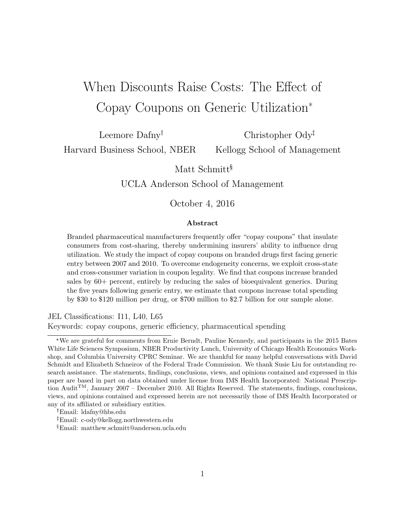# When Discounts Raise Costs: The Effect of Copay Coupons on Generic Utilization\*

Leemore Dafny<sup>†</sup>

Christopher Ody Kellogg School of Management

Harvard Business School, NBER

Matt Schmitt<sup>§</sup>

UCLA Anderson School of Management

October 4, 2016

#### Abstract

Branded pharmaceutical manufacturers frequently offer "copay coupons" that insulate consumers from cost-sharing, thereby undermining insurers' ability to influence drug utilization. We study the impact of copay coupons on branded drugs first facing generic entry between 2007 and 2010. To overcome endogeneity concerns, we exploit cross-state and cross-consumer variation in coupon legality. We find that coupons increase branded sales by 60+ percent, entirely by reducing the sales of bioequivalent generics. During the five years following generic entry, we estimate that coupons increase total spending by \$30 to \$120 million per drug, or \$700 million to \$2.7 billion for our sample alone.

JEL Classifications: I11, L40, L65 Keywords: copay coupons, generic efficiency, pharmaceutical spending

<sup>\*</sup>We are grateful for comments from Ernie Berndt, Pauline Kennedy, and participants in the 2015 Bates White Life Sciences Symposium, NBER Productivity Lunch, University of Chicago Health Economics Workshop, and Columbia University CPRC Seminar. We are thankful for many helpful conversations with David Schmidt and Elizabeth Schneirov of the Federal Trade Commission. We thank Susie Liu for outstanding research assistance. The statements, findings, conclusions, views, and opinions contained and expressed in this paper are based in part on data obtained under license from IMS Health Incorporated: National Prescription AuditTM, January 2007 – December 2010. All Rights Reserved. The statements, findings, conclusions, views, and opinions contained and expressed herein are not necessarily those of IMS Health Incorporated or any of its affiliated or subsidiary entities.

Email: ldafny@hbs.edu

Email: c-ody@kellogg.northwestern.edu

<sup>§</sup>Email: matthew.schmitt@anderson.ucla.edu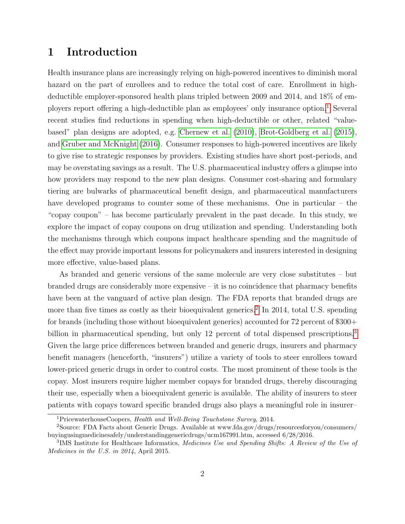# 1 Introduction

Health insurance plans are increasingly relying on high-powered incentives to diminish moral hazard on the part of enrollees and to reduce the total cost of care. Enrollment in highdeductible employer-sponsored health plans tripled between 2009 and 2014, and 18% of employers report offering a high-deductible plan as employees' only insurance option.[1](#page-1-0) Several recent studies find reductions in spending when high-deductible or other, related "valuebased" plan designs are adopted, e.g. [Chernew et al.](#page-28-0) [\(2010\)](#page-28-0), [Brot-Goldberg et al.](#page-28-1) [\(2015\)](#page-28-1), and [Gruber and McKnight](#page-28-2) [\(2016\)](#page-28-2). Consumer responses to high-powered incentives are likely to give rise to strategic responses by providers. Existing studies have short post-periods, and may be overstating savings as a result. The U.S. pharmaceutical industry offers a glimpse into how providers may respond to the new plan designs. Consumer cost-sharing and formulary tiering are bulwarks of pharmaceutical benefit design, and pharmaceutical manufacturers have developed programs to counter some of these mechanisms. One in particular – the "copay coupon" – has become particularly prevalent in the past decade. In this study, we explore the impact of copay coupons on drug utilization and spending. Understanding both the mechanisms through which coupons impact healthcare spending and the magnitude of the effect may provide important lessons for policymakers and insurers interested in designing more effective, value-based plans.

As branded and generic versions of the same molecule are very close substitutes – but branded drugs are considerably more expensive – it is no coincidence that pharmacy benefits have been at the vanguard of active plan design. The FDA reports that branded drugs are more than five times as costly as their bioequivalent generics.<sup>[2](#page-1-1)</sup> In 2014, total U.S. spending for brands (including those without bioequivalent generics) accounted for 72 percent of \$300+ billion in pharmaceutical spending, but only 12 percent of total dispensed prescriptions.<sup>[3](#page-1-2)</sup> Given the large price differences between branded and generic drugs, insurers and pharmacy benefit managers (henceforth, "insurers") utilize a variety of tools to steer enrollees toward lower-priced generic drugs in order to control costs. The most prominent of these tools is the copay. Most insurers require higher member copays for branded drugs, thereby discouraging their use, especially when a bioequivalent generic is available. The ability of insurers to steer patients with copays toward specific branded drugs also plays a meaningful role in insurer–

<span id="page-1-1"></span><span id="page-1-0"></span><sup>&</sup>lt;sup>1</sup>PricewaterhouseCoopers, *Health and Well-Being Touchstone Survey*, 2014.

<sup>2</sup>Source: FDA Facts about Generic Drugs. Available at www.fda.gov/drugs/resourcesforyou/consumers/ buyingusingmedicinesafely/understandinggenericdrugs/ucm167991.htm, accessed 6/28/2016.

<span id="page-1-2"></span><sup>&</sup>lt;sup>3</sup>IMS Institute for Healthcare Informatics, Medicines Use and Spending Shifts: A Review of the Use of Medicines in the U.S. in 2014, April 2015.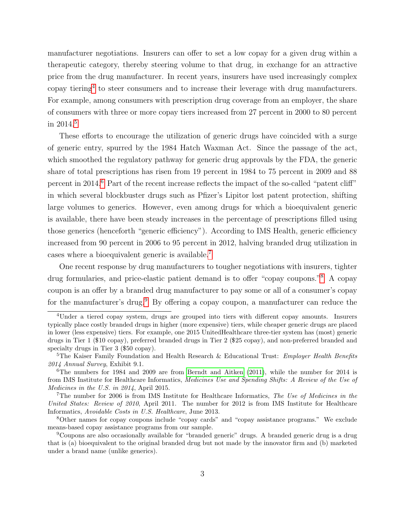manufacturer negotiations. Insurers can offer to set a low copay for a given drug within a therapeutic category, thereby steering volume to that drug, in exchange for an attractive price from the drug manufacturer. In recent years, insurers have used increasingly complex copay tiering[4](#page-2-0) to steer consumers and to increase their leverage with drug manufacturers. For example, among consumers with prescription drug coverage from an employer, the share of consumers with three or more copay tiers increased from 27 percent in 2000 to 80 percent in 2014.<sup>[5](#page-2-1)</sup>

These efforts to encourage the utilization of generic drugs have coincided with a surge of generic entry, spurred by the 1984 Hatch Waxman Act. Since the passage of the act, which smoothed the regulatory pathway for generic drug approvals by the FDA, the generic share of total prescriptions has risen from 19 percent in 1984 to 75 percent in 2009 and 88 percent in 2014.[6](#page-2-2) Part of the recent increase reflects the impact of the so-called "patent cliff" in which several blockbuster drugs such as Pfizer's Lipitor lost patent protection, shifting large volumes to generics. However, even among drugs for which a bioequivalent generic is available, there have been steady increases in the percentage of prescriptions filled using those generics (henceforth "generic efficiency"). According to IMS Health, generic efficiency increased from 90 percent in 2006 to 95 percent in 2012, halving branded drug utilization in cases where a bioequivalent generic is available.[7](#page-2-3)

One recent response by drug manufacturers to tougher negotiations with insurers, tighter drug formularies, and price-elastic patient demand is to offer "copay coupons."[8](#page-2-4) A copay coupon is an offer by a branded drug manufacturer to pay some or all of a consumer's copay for the manufacturer's drug.<sup>[9](#page-2-5)</sup> By offering a copay coupon, a manufacturer can reduce the

<span id="page-2-0"></span><sup>4</sup>Under a tiered copay system, drugs are grouped into tiers with different copay amounts. Insurers typically place costly branded drugs in higher (more expensive) tiers, while cheaper generic drugs are placed in lower (less expensive) tiers. For example, one 2015 UnitedHealthcare three-tier system has (most) generic drugs in Tier 1 (\$10 copay), preferred branded drugs in Tier 2 (\$25 copay), and non-preferred branded and specialty drugs in Tier 3 (\$50 copay).

<span id="page-2-1"></span><sup>&</sup>lt;sup>5</sup>The Kaiser Family Foundation and Health Research & Educational Trust: *Employer Health Benefits* 2014 Annual Survey, Exhibit 9.1.

<span id="page-2-2"></span> $6$ The numbers for 1984 and 2009 are from [Berndt and Aitken](#page-28-3) [\(2011\)](#page-28-3), while the number for 2014 is from IMS Institute for Healthcare Informatics, Medicines Use and Spending Shifts: A Review of the Use of Medicines in the U.S. in 2014, April 2015.

<span id="page-2-3"></span><sup>&</sup>lt;sup>7</sup>The number for 2006 is from IMS Institute for Healthcare Informatics, The Use of Medicines in the United States: Review of 2010, April 2011. The number for 2012 is from IMS Institute for Healthcare Informatics, Avoidable Costs in U.S. Healthcare, June 2013.

<span id="page-2-4"></span><sup>8</sup>Other names for copay coupons include "copay cards" and "copay assistance programs." We exclude means-based copay assistance programs from our sample.

<span id="page-2-5"></span><sup>9</sup>Coupons are also occasionally available for "branded generic" drugs. A branded generic drug is a drug that is (a) bioequivalent to the original branded drug but not made by the innovator firm and (b) marketed under a brand name (unlike generics).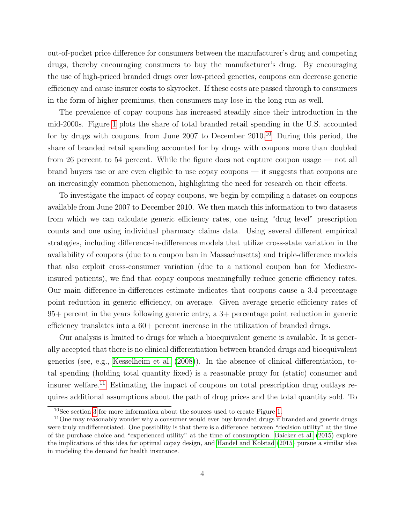out-of-pocket price difference for consumers between the manufacturer's drug and competing drugs, thereby encouraging consumers to buy the manufacturer's drug. By encouraging the use of high-priced branded drugs over low-priced generics, coupons can decrease generic efficiency and cause insurer costs to skyrocket. If these costs are passed through to consumers in the form of higher premiums, then consumers may lose in the long run as well.

The prevalence of copay coupons has increased steadily since their introduction in the mid-2000s. Figure [1](#page-31-0) plots the share of total branded retail spending in the U.S. accounted for by drugs with coupons, from June 2007 to December  $2010^{10}$  $2010^{10}$  $2010^{10}$  During this period, the share of branded retail spending accounted for by drugs with coupons more than doubled from 26 percent to 54 percent. While the figure does not capture coupon usage — not all brand buyers use or are even eligible to use copay coupons — it suggests that coupons are an increasingly common phenomenon, highlighting the need for research on their effects.

To investigate the impact of copay coupons, we begin by compiling a dataset on coupons available from June 2007 to December 2010. We then match this information to two datasets from which we can calculate generic efficiency rates, one using "drug level" prescription counts and one using individual pharmacy claims data. Using several different empirical strategies, including difference-in-differences models that utilize cross-state variation in the availability of coupons (due to a coupon ban in Massachusetts) and triple-difference models that also exploit cross-consumer variation (due to a national coupon ban for Medicareinsured patients), we find that copay coupons meaningfully reduce generic efficiency rates. Our main difference-in-differences estimate indicates that coupons cause a 3.4 percentage point reduction in generic efficiency, on average. Given average generic efficiency rates of 95+ percent in the years following generic entry, a 3+ percentage point reduction in generic efficiency translates into a 60+ percent increase in the utilization of branded drugs.

Our analysis is limited to drugs for which a bioequivalent generic is available. It is generally accepted that there is no clinical differentiation between branded drugs and bioequivalent generics (see, e.g., [Kesselheim et al.](#page-29-0) [\(2008\)](#page-29-0)). In the absence of clinical differentiation, total spending (holding total quantity fixed) is a reasonable proxy for (static) consumer and insurer welfare.[11](#page-3-1) Estimating the impact of coupons on total prescription drug outlays requires additional assumptions about the path of drug prices and the total quantity sold. To

<span id="page-3-1"></span><span id="page-3-0"></span><sup>10</sup>See section [3](#page-6-0) for more information about the sources used to create Figure [1.](#page-31-0)

<sup>&</sup>lt;sup>11</sup>One may reasonably wonder why a consumer would ever buy branded drugs if branded and generic drugs were truly undifferentiated. One possibility is that there is a difference between "decision utility" at the time of the purchase choice and "experienced utility" at the time of consumption. [Baicker et al.](#page-27-0) [\(2015\)](#page-27-0) explore the implications of this idea for optimal copay design, and [Handel and Kolstad](#page-29-1) [\(2015\)](#page-29-1) pursue a similar idea in modeling the demand for health insurance.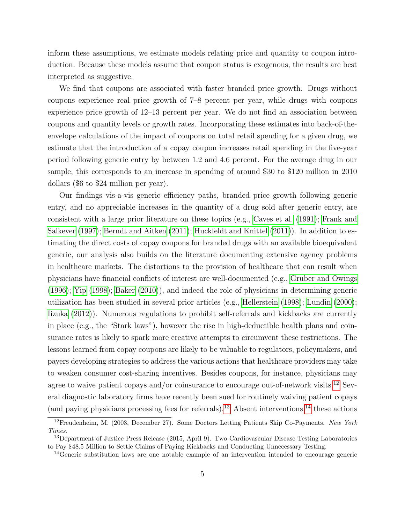inform these assumptions, we estimate models relating price and quantity to coupon introduction. Because these models assume that coupon status is exogenous, the results are best interpreted as suggestive.

We find that coupons are associated with faster branded price growth. Drugs without coupons experience real price growth of 7–8 percent per year, while drugs with coupons experience price growth of 12–13 percent per year. We do not find an association between coupons and quantity levels or growth rates. Incorporating these estimates into back-of-theenvelope calculations of the impact of coupons on total retail spending for a given drug, we estimate that the introduction of a copay coupon increases retail spending in the five-year period following generic entry by between 1.2 and 4.6 percent. For the average drug in our sample, this corresponds to an increase in spending of around \$30 to \$120 million in 2010 dollars (\$6 to \$24 million per year).

Our findings vis-a-vis generic efficiency paths, branded price growth following generic entry, and no appreciable increases in the quantity of a drug sold after generic entry, are consistent with a large prior literature on these topics (e.g., [Caves et al.](#page-28-4) [\(1991\)](#page-28-4); [Frank and](#page-28-5) [Salkever](#page-28-5) [\(1997\)](#page-28-5); [Berndt and Aitken](#page-28-3) [\(2011\)](#page-29-2); [Huckfeldt and Knittel](#page-29-2) (2011)). In addition to estimating the direct costs of copay coupons for branded drugs with an available bioequivalent generic, our analysis also builds on the literature documenting extensive agency problems in healthcare markets. The distortions to the provision of healthcare that can result when physicians have financial conflicts of interest are well-documented (e.g., [Gruber and Owings](#page-29-3) [\(1996\)](#page-29-3); [Yip](#page-30-0) [\(1998\)](#page-30-0); [Baker](#page-27-1) [\(2010\)](#page-27-1)), and indeed the role of physicians in determining generic utilization has been studied in several prior articles (e.g., [Hellerstein](#page-29-4) [\(1998\)](#page-29-4); [Lundin](#page-29-5) [\(2000\)](#page-29-5); [Iizuka](#page-29-6) [\(2012\)](#page-29-6)). Numerous regulations to prohibit self-referrals and kickbacks are currently in place (e.g., the "Stark laws"), however the rise in high-deductible health plans and coinsurance rates is likely to spark more creative attempts to circumvent these restrictions. The lessons learned from copay coupons are likely to be valuable to regulators, policymakers, and payers developing strategies to address the various actions that healthcare providers may take to weaken consumer cost-sharing incentives. Besides coupons, for instance, physicians may agree to waive patient copays and/or coinsurance to encourage out-of-network visits.<sup>[12](#page-4-0)</sup> Several diagnostic laboratory firms have recently been sued for routinely waiving patient copays (and paying physicians processing fees for referrals).<sup>[13](#page-4-1)</sup> Absent interventions,<sup>[14](#page-4-2)</sup> these actions

<span id="page-4-0"></span> $12$ Freudenheim, M. (2003, December 27). Some Doctors Letting Patients Skip Co-Payments. New York Times.

<span id="page-4-1"></span><sup>&</sup>lt;sup>13</sup>Department of Justice Press Release (2015, April 9). Two Cardiovascular Disease Testing Laboratories to Pay \$48.5 Million to Settle Claims of Paying Kickbacks and Conducting Unnecessary Testing.

<span id="page-4-2"></span><sup>14</sup>Generic substitution laws are one notable example of an intervention intended to encourage generic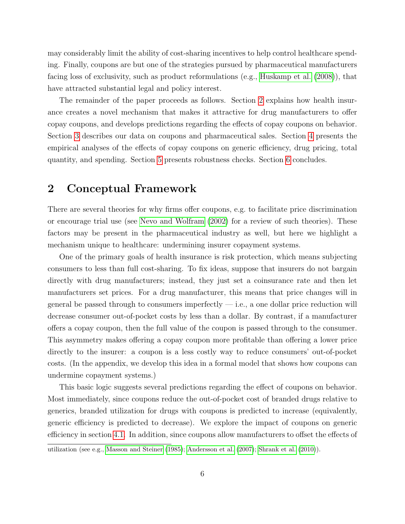may considerably limit the ability of cost-sharing incentives to help control healthcare spending. Finally, coupons are but one of the strategies pursued by pharmaceutical manufacturers facing loss of exclusivity, such as product reformulations (e.g., [Huskamp et al.](#page-29-7) [\(2008\)](#page-29-7)), that have attracted substantial legal and policy interest.

The remainder of the paper proceeds as follows. Section [2](#page-5-0) explains how health insurance creates a novel mechanism that makes it attractive for drug manufacturers to offer copay coupons, and develops predictions regarding the effects of copay coupons on behavior. Section [3](#page-6-0) describes our data on coupons and pharmaceutical sales. Section [4](#page-12-0) presents the empirical analyses of the effects of copay coupons on generic efficiency, drug pricing, total quantity, and spending. Section [5](#page-23-0) presents robustness checks. Section [6](#page-25-0) concludes.

### <span id="page-5-0"></span>2 Conceptual Framework

There are several theories for why firms offer coupons, e.g. to facilitate price discrimination or encourage trial use (see [Nevo and Wolfram](#page-29-8) [\(2002\)](#page-29-8) for a review of such theories). These factors may be present in the pharmaceutical industry as well, but here we highlight a mechanism unique to healthcare: undermining insurer copayment systems.

One of the primary goals of health insurance is risk protection, which means subjecting consumers to less than full cost-sharing. To fix ideas, suppose that insurers do not bargain directly with drug manufacturers; instead, they just set a coinsurance rate and then let manufacturers set prices. For a drug manufacturer, this means that price changes will in general be passed through to consumers imperfectly  $-$  i.e., a one dollar price reduction will decrease consumer out-of-pocket costs by less than a dollar. By contrast, if a manufacturer offers a copay coupon, then the full value of the coupon is passed through to the consumer. This asymmetry makes offering a copay coupon more profitable than offering a lower price directly to the insurer: a coupon is a less costly way to reduce consumers' out-of-pocket costs. (In the appendix, we develop this idea in a formal model that shows how coupons can undermine copayment systems.)

This basic logic suggests several predictions regarding the effect of coupons on behavior. Most immediately, since coupons reduce the out-of-pocket cost of branded drugs relative to generics, branded utilization for drugs with coupons is predicted to increase (equivalently, generic efficiency is predicted to decrease). We explore the impact of coupons on generic efficiency in section [4.1.](#page-12-1) In addition, since coupons allow manufacturers to offset the effects of

utilization (see e.g., [Masson and Steiner](#page-29-9) [\(1985\)](#page-29-9); [Andersson et al.](#page-27-2) [\(2007\)](#page-27-2); [Shrank et al.](#page-30-1) [\(2010\)](#page-30-1)).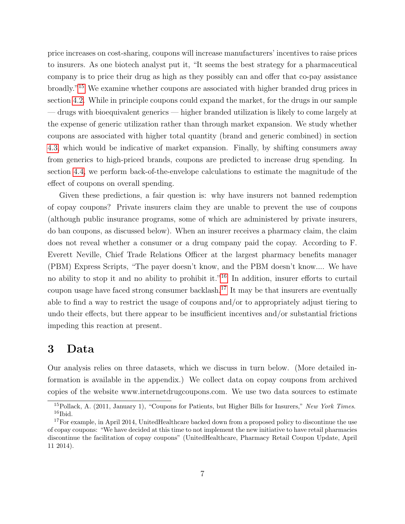price increases on cost-sharing, coupons will increase manufacturers' incentives to raise prices to insurers. As one biotech analyst put it, "It seems the best strategy for a pharmaceutical company is to price their drug as high as they possibly can and offer that co-pay assistance broadly."[15](#page-6-1) We examine whether coupons are associated with higher branded drug prices in section [4.2.](#page-17-0) While in principle coupons could expand the market, for the drugs in our sample — drugs with bioequivalent generics — higher branded utilization is likely to come largely at the expense of generic utilization rather than through market expansion. We study whether coupons are associated with higher total quantity (brand and generic combined) in section [4.3,](#page-19-0) which would be indicative of market expansion. Finally, by shifting consumers away from generics to high-priced brands, coupons are predicted to increase drug spending. In section [4.4,](#page-21-0) we perform back-of-the-envelope calculations to estimate the magnitude of the effect of coupons on overall spending.

Given these predictions, a fair question is: why have insurers not banned redemption of copay coupons? Private insurers claim they are unable to prevent the use of coupons (although public insurance programs, some of which are administered by private insurers, do ban coupons, as discussed below). When an insurer receives a pharmacy claim, the claim does not reveal whether a consumer or a drug company paid the copay. According to F. Everett Neville, Chief Trade Relations Officer at the largest pharmacy benefits manager (PBM) Express Scripts, "The payer doesn't know, and the PBM doesn't know.... We have no ability to stop it and no ability to prohibit it."<sup>[16](#page-6-2)</sup> In addition, insurer efforts to curtail coupon usage have faced strong consumer backlash.<sup>[17](#page-6-3)</sup> It may be that insurers are eventually able to find a way to restrict the usage of coupons and/or to appropriately adjust tiering to undo their effects, but there appear to be insufficient incentives and/or substantial frictions impeding this reaction at present.

# <span id="page-6-0"></span>3 Data

Our analysis relies on three datasets, which we discuss in turn below. (More detailed information is available in the appendix.) We collect data on copay coupons from archived copies of the website www.internetdrugcoupons.com. We use two data sources to estimate

<span id="page-6-2"></span><span id="page-6-1"></span><sup>&</sup>lt;sup>15</sup>Pollack, A. (2011, January 1), "Coupons for Patients, but Higher Bills for Insurers," New York Times.  $16$ Ibid.

<span id="page-6-3"></span> $17$  For example, in April 2014, UnitedHealthcare backed down from a proposed policy to discontinue the use of copay coupons: "We have decided at this time to not implement the new initiative to have retail pharmacies discontinue the facilitation of copay coupons" (UnitedHealthcare, Pharmacy Retail Coupon Update, April 11 2014).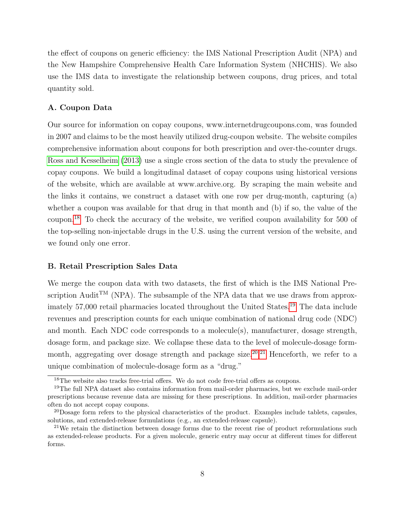the effect of coupons on generic efficiency: the IMS National Prescription Audit (NPA) and the New Hampshire Comprehensive Health Care Information System (NHCHIS). We also use the IMS data to investigate the relationship between coupons, drug prices, and total quantity sold.

#### A. Coupon Data

Our source for information on copay coupons, www.internetdrugcoupons.com, was founded in 2007 and claims to be the most heavily utilized drug-coupon website. The website compiles comprehensive information about coupons for both prescription and over-the-counter drugs. [Ross and Kesselheim](#page-29-10) [\(2013\)](#page-29-10) use a single cross section of the data to study the prevalence of copay coupons. We build a longitudinal dataset of copay coupons using historical versions of the website, which are available at www.archive.org. By scraping the main website and the links it contains, we construct a dataset with one row per drug-month, capturing (a) whether a coupon was available for that drug in that month and (b) if so, the value of the coupon.[18](#page-7-0) To check the accuracy of the website, we verified coupon availability for 500 of the top-selling non-injectable drugs in the U.S. using the current version of the website, and we found only one error.

#### B. Retail Prescription Sales Data

We merge the coupon data with two datasets, the first of which is the IMS National Prescription Audit<sup>TM</sup> (NPA). The subsample of the NPA data that we use draws from approx-imately 57,000 retail pharmacies located throughout the United States.<sup>[19](#page-7-1)</sup> The data include revenues and prescription counts for each unique combination of national drug code (NDC) and month. Each NDC code corresponds to a molecule(s), manufacturer, dosage strength, dosage form, and package size. We collapse these data to the level of molecule-dosage form-month, aggregating over dosage strength and package size.<sup>[20](#page-7-2),[21](#page-7-3)</sup> Henceforth, we refer to a unique combination of molecule-dosage form as a "drug."

<span id="page-7-1"></span><span id="page-7-0"></span><sup>&</sup>lt;sup>18</sup>The website also tracks free-trial offers. We do not code free-trial offers as coupons.

<sup>&</sup>lt;sup>19</sup>The full NPA dataset also contains information from mail-order pharmacies, but we exclude mail-order prescriptions because revenue data are missing for these prescriptions. In addition, mail-order pharmacies often do not accept copay coupons.

<span id="page-7-2"></span><sup>20</sup>Dosage form refers to the physical characteristics of the product. Examples include tablets, capsules, solutions, and extended-release formulations (e.g., an extended-release capsule).

<span id="page-7-3"></span><sup>&</sup>lt;sup>21</sup>We retain the distinction between dosage forms due to the recent rise of product reformulations such as extended-release products. For a given molecule, generic entry may occur at different times for different forms.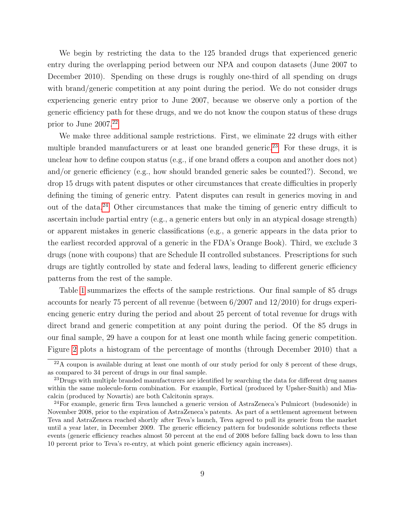We begin by restricting the data to the 125 branded drugs that experienced generic entry during the overlapping period between our NPA and coupon datasets (June 2007 to December 2010). Spending on these drugs is roughly one-third of all spending on drugs with brand/generic competition at any point during the period. We do not consider drugs experiencing generic entry prior to June 2007, because we observe only a portion of the generic efficiency path for these drugs, and we do not know the coupon status of these drugs prior to June 2007.[22](#page-8-0)

We make three additional sample restrictions. First, we eliminate 22 drugs with either multiple branded manufacturers or at least one branded generic.<sup>[23](#page-8-1)</sup> For these drugs, it is unclear how to define coupon status (e.g., if one brand offers a coupon and another does not) and/or generic efficiency (e.g., how should branded generic sales be counted?). Second, we drop 15 drugs with patent disputes or other circumstances that create difficulties in properly defining the timing of generic entry. Patent disputes can result in generics moving in and out of the data.[24](#page-8-2) Other circumstances that make the timing of generic entry difficult to ascertain include partial entry (e.g., a generic enters but only in an atypical dosage strength) or apparent mistakes in generic classifications (e.g., a generic appears in the data prior to the earliest recorded approval of a generic in the FDA's Orange Book). Third, we exclude 3 drugs (none with coupons) that are Schedule II controlled substances. Prescriptions for such drugs are tightly controlled by state and federal laws, leading to different generic efficiency patterns from the rest of the sample.

Table [1](#page-33-0) summarizes the effects of the sample restrictions. Our final sample of 85 drugs accounts for nearly 75 percent of all revenue (between 6/2007 and 12/2010) for drugs experiencing generic entry during the period and about 25 percent of total revenue for drugs with direct brand and generic competition at any point during the period. Of the 85 drugs in our final sample, 29 have a coupon for at least one month while facing generic competition. Figure [2](#page-31-1) plots a histogram of the percentage of months (through December 2010) that a

<span id="page-8-0"></span> $22A$  coupon is available during at least one month of our study period for only 8 percent of these drugs, as compared to 34 percent of drugs in our final sample.

<span id="page-8-1"></span><sup>&</sup>lt;sup>23</sup>Drugs with multiple branded manufacturers are identified by searching the data for different drug names within the same molecule-form combination. For example, Fortical (produced by Upsher-Smith) and Miacalcin (produced by Novartis) are both Calcitonin sprays.

<span id="page-8-2"></span><sup>24</sup>For example, generic firm Teva launched a generic version of AstraZeneca's Pulmicort (budesonide) in November 2008, prior to the expiration of AstraZeneca's patents. As part of a settlement agreement between Teva and AstraZeneca reached shortly after Teva's launch, Teva agreed to pull its generic from the market until a year later, in December 2009. The generic efficiency pattern for budesonide solutions reflects these events (generic efficiency reaches almost 50 percent at the end of 2008 before falling back down to less than 10 percent prior to Teva's re-entry, at which point generic efficiency again increases).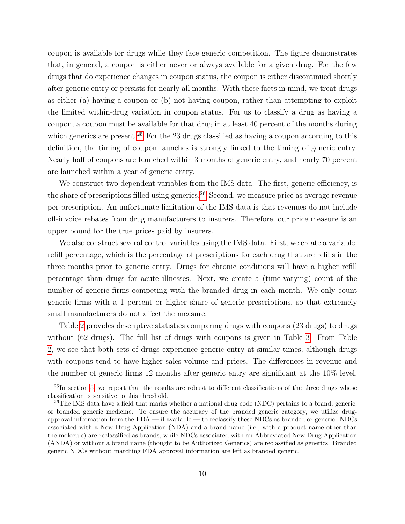coupon is available for drugs while they face generic competition. The figure demonstrates that, in general, a coupon is either never or always available for a given drug. For the few drugs that do experience changes in coupon status, the coupon is either discontinued shortly after generic entry or persists for nearly all months. With these facts in mind, we treat drugs as either (a) having a coupon or (b) not having coupon, rather than attempting to exploit the limited within-drug variation in coupon status. For us to classify a drug as having a coupon, a coupon must be available for that drug in at least 40 percent of the months during which generics are present.<sup>[25](#page-9-0)</sup> For the 23 drugs classified as having a coupon according to this definition, the timing of coupon launches is strongly linked to the timing of generic entry. Nearly half of coupons are launched within 3 months of generic entry, and nearly 70 percent are launched within a year of generic entry.

We construct two dependent variables from the IMS data. The first, generic efficiency, is the share of prescriptions filled using generics.<sup>[26](#page-9-1)</sup> Second, we measure price as average revenue per prescription. An unfortunate limitation of the IMS data is that revenues do not include off-invoice rebates from drug manufacturers to insurers. Therefore, our price measure is an upper bound for the true prices paid by insurers.

We also construct several control variables using the IMS data. First, we create a variable, refill percentage, which is the percentage of prescriptions for each drug that are refills in the three months prior to generic entry. Drugs for chronic conditions will have a higher refill percentage than drugs for acute illnesses. Next, we create a (time-varying) count of the number of generic firms competing with the branded drug in each month. We only count generic firms with a 1 percent or higher share of generic prescriptions, so that extremely small manufacturers do not affect the measure.

Table [2](#page-33-1) provides descriptive statistics comparing drugs with coupons (23 drugs) to drugs without (62 drugs). The full list of drugs with coupons is given in Table [3.](#page-34-0) From Table [2,](#page-33-1) we see that both sets of drugs experience generic entry at similar times, although drugs with coupons tend to have higher sales volume and prices. The differences in revenue and the number of generic firms 12 months after generic entry are significant at the 10% level,

<span id="page-9-0"></span> $^{25}$ In section [5,](#page-23-0) we report that the results are robust to different classifications of the three drugs whose classification is sensitive to this threshold.

<span id="page-9-1"></span> $^{26}$ The IMS data have a field that marks whether a national drug code (NDC) pertains to a brand, generic, or branded generic medicine. To ensure the accuracy of the branded generic category, we utilize drugapproval information from the FDA — if available — to reclassify these NDCs as branded or generic. NDCs associated with a New Drug Application (NDA) and a brand name (i.e., with a product name other than the molecule) are reclassified as brands, while NDCs associated with an Abbreviated New Drug Application (ANDA) or without a brand name (thought to be Authorized Generics) are reclassified as generics. Branded generic NDCs without matching FDA approval information are left as branded generic.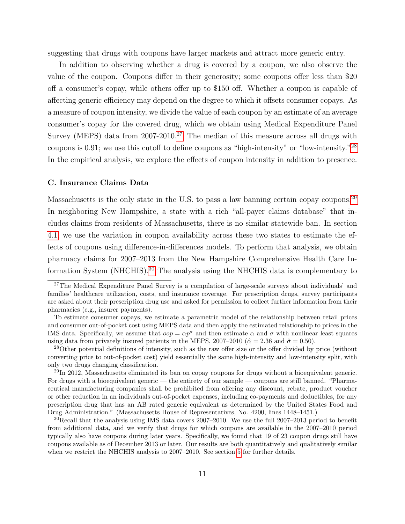suggesting that drugs with coupons have larger markets and attract more generic entry.

In addition to observing whether a drug is covered by a coupon, we also observe the value of the coupon. Coupons differ in their generosity; some coupons offer less than \$20 off a consumer's copay, while others offer up to \$150 off. Whether a coupon is capable of affecting generic efficiency may depend on the degree to which it offsets consumer copays. As a measure of coupon intensity, we divide the value of each coupon by an estimate of an average consumer's copay for the covered drug, which we obtain using Medical Expenditure Panel Survey (MEPS) data from  $2007-2010$ .<sup>[27](#page-10-0)</sup> The median of this measure across all drugs with coupons is 0.91; we use this cutoff to define coupons as "high-intensity" or "low-intensity."[28](#page-10-1) In the empirical analysis, we explore the effects of coupon intensity in addition to presence.

#### C. Insurance Claims Data

Massachusetts is the only state in the U.S. to pass a law banning certain copay coupons.<sup>[29](#page-10-2)</sup> In neighboring New Hampshire, a state with a rich "all-payer claims database" that includes claims from residents of Massachusetts, there is no similar statewide ban. In section [4.1,](#page-14-0) we use the variation in coupon availability across these two states to estimate the effects of coupons using difference-in-differences models. To perform that analysis, we obtain pharmacy claims for 2007–2013 from the New Hampshire Comprehensive Health Care Information System (NHCHIS).[30](#page-10-3) The analysis using the NHCHIS data is complementary to

<span id="page-10-0"></span><sup>&</sup>lt;sup>27</sup>The Medical Expenditure Panel Survey is a compilation of large-scale surveys about individuals' and families' healthcare utilization, costs, and insurance coverage. For prescription drugs, survey participants are asked about their prescription drug use and asked for permission to collect further information from their pharmacies (e.g., insurer payments).

To estimate consumer copays, we estimate a parametric model of the relationship between retail prices and consumer out-of-pocket cost using MEPS data and then apply the estimated relationship to prices in the IMS data. Specifically, we assume that  $\omega \rho = \alpha p^{\sigma}$  and then estimate  $\alpha$  and  $\sigma$  with nonlinear least squares using data from privately insured patients in the MEPS, 2007–2010 ( $\hat{\alpha} = 2.36$  and  $\hat{\sigma} = 0.50$ ).

<span id="page-10-1"></span><sup>&</sup>lt;sup>28</sup>Other potential definitions of intensity, such as the raw offer size or the offer divided by price (without converting price to out-of-pocket cost) yield essentially the same high-intensity and low-intensity split, with only two drugs changing classification.

<span id="page-10-2"></span><sup>&</sup>lt;sup>29</sup>In 2012, Massachusetts eliminated its ban on copay coupons for drugs without a bioequivalent generic. For drugs with a bioequivalent generic — the entirety of our sample — coupons are still banned. "Pharmaceutical manufacturing companies shall be prohibited from offering any discount, rebate, product voucher or other reduction in an individuals out-of-pocket expenses, including co-payments and deductibles, for any prescription drug that has an AB rated generic equivalent as determined by the United States Food and Drug Administration." (Massachusetts House of Representatives, No. 4200, lines 1448–1451.)

<span id="page-10-3"></span> $30\text{Recall}$  that the analysis using IMS data covers 2007–2010. We use the full 2007–2013 period to benefit from additional data, and we verify that drugs for which coupons are available in the 2007–2010 period typically also have coupons during later years. Specifically, we found that 19 of 23 coupon drugs still have coupons available as of December 2013 or later. Our results are both quantitatively and qualitatively similar when we restrict the NHCHIS analysis to 2007–2010. See section [5](#page-23-0) for further details.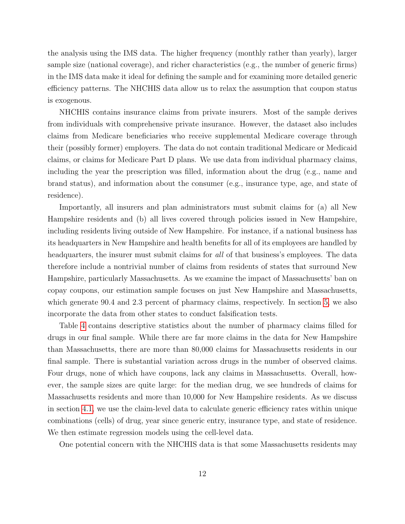the analysis using the IMS data. The higher frequency (monthly rather than yearly), larger sample size (national coverage), and richer characteristics (e.g., the number of generic firms) in the IMS data make it ideal for defining the sample and for examining more detailed generic efficiency patterns. The NHCHIS data allow us to relax the assumption that coupon status is exogenous.

NHCHIS contains insurance claims from private insurers. Most of the sample derives from individuals with comprehensive private insurance. However, the dataset also includes claims from Medicare beneficiaries who receive supplemental Medicare coverage through their (possibly former) employers. The data do not contain traditional Medicare or Medicaid claims, or claims for Medicare Part D plans. We use data from individual pharmacy claims, including the year the prescription was filled, information about the drug (e.g., name and brand status), and information about the consumer (e.g., insurance type, age, and state of residence).

Importantly, all insurers and plan administrators must submit claims for (a) all New Hampshire residents and (b) all lives covered through policies issued in New Hampshire, including residents living outside of New Hampshire. For instance, if a national business has its headquarters in New Hampshire and health benefits for all of its employees are handled by headquarters, the insurer must submit claims for all of that business's employees. The data therefore include a nontrivial number of claims from residents of states that surround New Hampshire, particularly Massachusetts. As we examine the impact of Massachusetts' ban on copay coupons, our estimation sample focuses on just New Hampshire and Massachusetts, which generate 90.4 and 2.3 percent of pharmacy claims, respectively. In section [5,](#page-23-0) we also incorporate the data from other states to conduct falsification tests.

Table [4](#page-35-0) contains descriptive statistics about the number of pharmacy claims filled for drugs in our final sample. While there are far more claims in the data for New Hampshire than Massachusetts, there are more than 80,000 claims for Massachusetts residents in our final sample. There is substantial variation across drugs in the number of observed claims. Four drugs, none of which have coupons, lack any claims in Massachusetts. Overall, however, the sample sizes are quite large: for the median drug, we see hundreds of claims for Massachusetts residents and more than 10,000 for New Hampshire residents. As we discuss in section [4.1,](#page-12-1) we use the claim-level data to calculate generic efficiency rates within unique combinations (cells) of drug, year since generic entry, insurance type, and state of residence. We then estimate regression models using the cell-level data.

One potential concern with the NHCHIS data is that some Massachusetts residents may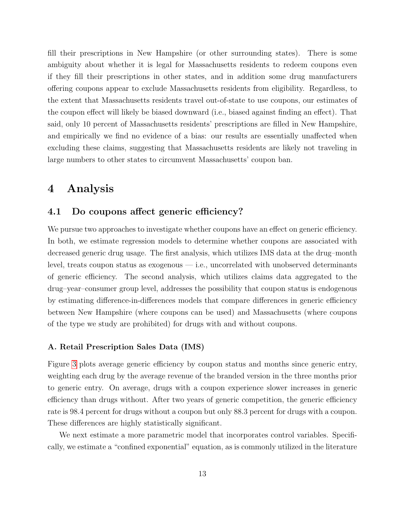fill their prescriptions in New Hampshire (or other surrounding states). There is some ambiguity about whether it is legal for Massachusetts residents to redeem coupons even if they fill their prescriptions in other states, and in addition some drug manufacturers offering coupons appear to exclude Massachusetts residents from eligibility. Regardless, to the extent that Massachusetts residents travel out-of-state to use coupons, our estimates of the coupon effect will likely be biased downward (i.e., biased against finding an effect). That said, only 10 percent of Massachusetts residents' prescriptions are filled in New Hampshire, and empirically we find no evidence of a bias: our results are essentially unaffected when excluding these claims, suggesting that Massachusetts residents are likely not traveling in large numbers to other states to circumvent Massachusetts' coupon ban.

# <span id="page-12-0"></span>4 Analysis

### <span id="page-12-1"></span>4.1 Do coupons affect generic efficiency?

We pursue two approaches to investigate whether coupons have an effect on generic efficiency. In both, we estimate regression models to determine whether coupons are associated with decreased generic drug usage. The first analysis, which utilizes IMS data at the drug–month level, treats coupon status as exogenous — i.e., uncorrelated with unobserved determinants of generic efficiency. The second analysis, which utilizes claims data aggregated to the drug–year–consumer group level, addresses the possibility that coupon status is endogenous by estimating difference-in-differences models that compare differences in generic efficiency between New Hampshire (where coupons can be used) and Massachusetts (where coupons of the type we study are prohibited) for drugs with and without coupons.

#### A. Retail Prescription Sales Data (IMS)

Figure [3](#page-32-0) plots average generic efficiency by coupon status and months since generic entry, weighting each drug by the average revenue of the branded version in the three months prior to generic entry. On average, drugs with a coupon experience slower increases in generic efficiency than drugs without. After two years of generic competition, the generic efficiency rate is 98.4 percent for drugs without a coupon but only 88.3 percent for drugs with a coupon. These differences are highly statistically significant.

We next estimate a more parametric model that incorporates control variables. Specifically, we estimate a "confined exponential" equation, as is commonly utilized in the literature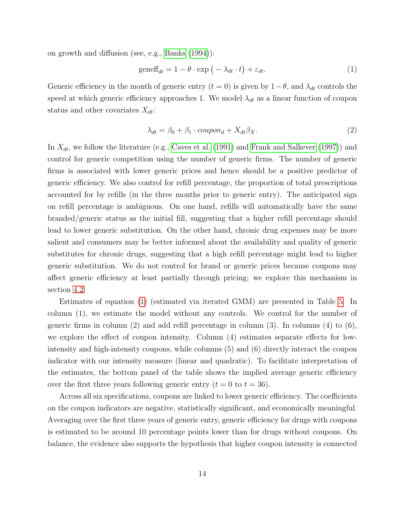on growth and diffusion (see, e.g., [Banks](#page-28-6) [\(1994\)](#page-28-6)):

<span id="page-13-0"></span>
$$
\text{geneff}_{dt} = 1 - \theta \cdot \exp\left(-\lambda_{dt} \cdot t\right) + \varepsilon_{dt}.\tag{1}
$$

Generic efficiency in the month of generic entry  $(t = 0)$  is given by  $1 - \theta$ , and  $\lambda_{dt}$  controls the speed at which generic efficiency approaches 1. We model  $\lambda_{dt}$  as a linear function of coupon status and other covariates  $X_{dt}$ :

$$
\lambda_{dt} = \beta_0 + \beta_1 \cdot coupon_d + X_{dt}\beta_X. \tag{2}
$$

In  $X_{dt}$ , we follow the literature (e.g., [Caves et al.](#page-28-4) [\(1991\)](#page-28-4) and [Frank and Salkever](#page-28-5) [\(1997\)](#page-28-5)) and control for generic competition using the number of generic firms. The number of generic firms is associated with lower generic prices and hence should be a positive predictor of generic efficiency. We also control for refill percentage, the proportion of total prescriptions accounted for by refills (in the three months prior to generic entry). The anticipated sign on refill percentage is ambiguous. On one hand, refills will automatically have the same branded/generic status as the initial fill, suggesting that a higher refill percentage should lead to lower generic substitution. On the other hand, chronic drug expenses may be more salient and consumers may be better informed about the availability and quality of generic substitutes for chronic drugs, suggesting that a high refill percentage might lead to higher generic substitution. We do not control for brand or generic prices because coupons may affect generic efficiency at least partially through pricing; we explore this mechanism in section [4.2.](#page-17-0)

Estimates of equation [\(1\)](#page-13-0) (estimated via iterated GMM) are presented in Table [5.](#page-36-0) In column (1), we estimate the model without any controls. We control for the number of generic firms in column (2) and add refill percentage in column (3). In columns (4) to  $(6)$ , we explore the effect of coupon intensity. Column (4) estimates separate effects for lowintensity and high-intensity coupons, while columns (5) and (6) directly interact the coupon indicator with our intensity measure (linear and quadratic). To facilitate interpretation of the estimates, the bottom panel of the table shows the implied average generic efficiency over the first three years following generic entry  $(t = 0$  to  $t = 36)$ .

Across all six specifications, coupons are linked to lower generic efficiency. The coefficients on the coupon indicators are negative, statistically significant, and economically meaningful. Averaging over the first three years of generic entry, generic efficiency for drugs with coupons is estimated to be around 10 percentage points lower than for drugs without coupons. On balance, the evidence also supports the hypothesis that higher coupon intensity is connected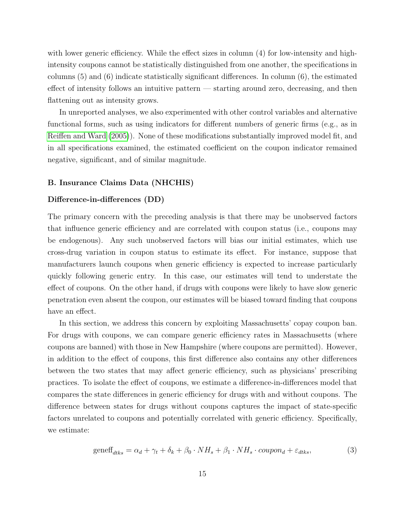with lower generic efficiency. While the effect sizes in column (4) for low-intensity and highintensity coupons cannot be statistically distinguished from one another, the specifications in columns  $(5)$  and  $(6)$  indicate statistically significant differences. In column  $(6)$ , the estimated effect of intensity follows an intuitive pattern — starting around zero, decreasing, and then flattening out as intensity grows.

In unreported analyses, we also experimented with other control variables and alternative functional forms, such as using indicators for different numbers of generic firms (e.g., as in [Reiffen and Ward](#page-29-11) [\(2005\)](#page-29-11)). None of these modifications substantially improved model fit, and in all specifications examined, the estimated coefficient on the coupon indicator remained negative, significant, and of similar magnitude.

#### <span id="page-14-0"></span>B. Insurance Claims Data (NHCHIS)

#### Difference-in-differences (DD)

The primary concern with the preceding analysis is that there may be unobserved factors that influence generic efficiency and are correlated with coupon status (i.e., coupons may be endogenous). Any such unobserved factors will bias our initial estimates, which use cross-drug variation in coupon status to estimate its effect. For instance, suppose that manufacturers launch coupons when generic efficiency is expected to increase particularly quickly following generic entry. In this case, our estimates will tend to understate the effect of coupons. On the other hand, if drugs with coupons were likely to have slow generic penetration even absent the coupon, our estimates will be biased toward finding that coupons have an effect.

In this section, we address this concern by exploiting Massachusetts' copay coupon ban. For drugs with coupons, we can compare generic efficiency rates in Massachusetts (where coupons are banned) with those in New Hampshire (where coupons are permitted). However, in addition to the effect of coupons, this first difference also contains any other differences between the two states that may affect generic efficiency, such as physicians' prescribing practices. To isolate the effect of coupons, we estimate a difference-in-differences model that compares the state differences in generic efficiency for drugs with and without coupons. The difference between states for drugs without coupons captures the impact of state-specific factors unrelated to coupons and potentially correlated with generic efficiency. Specifically, we estimate:

<span id="page-14-1"></span>
$$
\text{geneff}_{dtks} = \alpha_d + \gamma_t + \delta_k + \beta_0 \cdot NH_s + \beta_1 \cdot NH_s \cdot \text{coupon}_d + \varepsilon_{dtks},\tag{3}
$$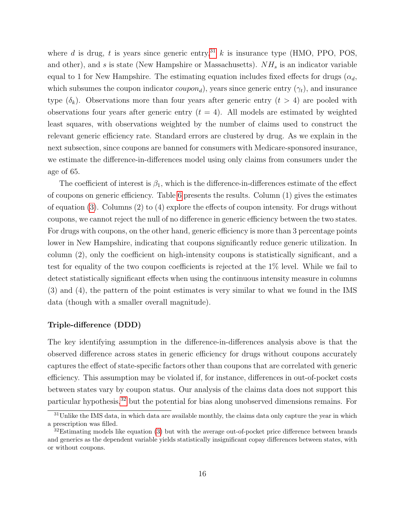where d is drug, t is years since generic entry,<sup>[31](#page-15-0)</sup> k is insurance type (HMO, PPO, POS, and other), and s is state (New Hampshire or Massachusetts).  $NH<sub>s</sub>$  is an indicator variable equal to 1 for New Hampshire. The estimating equation includes fixed effects for drugs ( $\alpha_d$ , which subsumes the coupon indicator  $\text{coupon}_d$ , years since generic entry  $(\gamma_t)$ , and insurance type  $(\delta_k)$ . Observations more than four years after generic entry  $(t > 4)$  are pooled with observations four years after generic entry  $(t = 4)$ . All models are estimated by weighted least squares, with observations weighted by the number of claims used to construct the relevant generic efficiency rate. Standard errors are clustered by drug. As we explain in the next subsection, since coupons are banned for consumers with Medicare-sponsored insurance, we estimate the difference-in-differences model using only claims from consumers under the age of 65.

The coefficient of interest is  $\beta_1$ , which is the difference-in-differences estimate of the effect of coupons on generic efficiency. Table [6](#page-37-0) presents the results. Column (1) gives the estimates of equation [\(3\)](#page-14-1). Columns (2) to (4) explore the effects of coupon intensity. For drugs without coupons, we cannot reject the null of no difference in generic efficiency between the two states. For drugs with coupons, on the other hand, generic efficiency is more than 3 percentage points lower in New Hampshire, indicating that coupons significantly reduce generic utilization. In column (2), only the coefficient on high-intensity coupons is statistically significant, and a test for equality of the two coupon coefficients is rejected at the 1% level. While we fail to detect statistically significant effects when using the continuous intensity measure in columns (3) and (4), the pattern of the point estimates is very similar to what we found in the IMS data (though with a smaller overall magnitude).

#### Triple-difference (DDD)

The key identifying assumption in the difference-in-differences analysis above is that the observed difference across states in generic efficiency for drugs without coupons accurately captures the effect of state-specific factors other than coupons that are correlated with generic efficiency. This assumption may be violated if, for instance, differences in out-of-pocket costs between states vary by coupon status. Our analysis of the claims data does not support this particular hypothesis,[32](#page-15-1) but the potential for bias along unobserved dimensions remains. For

<span id="page-15-0"></span> $31$ Unlike the IMS data, in which data are available monthly, the claims data only capture the year in which a prescription was filled.

<span id="page-15-1"></span> $32$ Estimating models like equation [\(3\)](#page-14-1) but with the average out-of-pocket price difference between brands and generics as the dependent variable yields statistically insignificant copay differences between states, with or without coupons.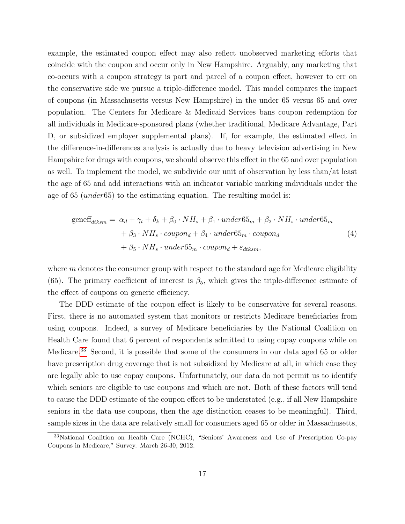example, the estimated coupon effect may also reflect unobserved marketing efforts that coincide with the coupon and occur only in New Hampshire. Arguably, any marketing that co-occurs with a coupon strategy is part and parcel of a coupon effect, however to err on the conservative side we pursue a triple-difference model. This model compares the impact of coupons (in Massachusetts versus New Hampshire) in the under 65 versus 65 and over population. The Centers for Medicare & Medicaid Services bans coupon redemption for all individuals in Medicare-sponsored plans (whether traditional, Medicare Advantage, Part D, or subsidized employer supplemental plans). If, for example, the estimated effect in the difference-in-differences analysis is actually due to heavy television advertising in New Hampshire for drugs with coupons, we should observe this effect in the 65 and over population as well. To implement the model, we subdivide our unit of observation by less than/at least the age of 65 and add interactions with an indicator variable marking individuals under the age of 65 (under65) to the estimating equation. The resulting model is:

<span id="page-16-1"></span>
$$
gen\text{eff}_{dtksm} = \alpha_d + \gamma_t + \delta_k + \beta_0 \cdot NH_s + \beta_1 \cdot under65_m + \beta_2 \cdot NH_s \cdot under65_m
$$

$$
+ \beta_3 \cdot NH_s \cdot coupon_d + \beta_4 \cdot under65_m \cdot coupon_d
$$

$$
+ \beta_5 \cdot NH_s \cdot under65_m \cdot coupon_d + \varepsilon_{dtksm},
$$

$$
(4)
$$

where  $m$  denotes the consumer group with respect to the standard age for Medicare eligibility (65). The primary coefficient of interest is  $\beta_5$ , which gives the triple-difference estimate of the effect of coupons on generic efficiency.

The DDD estimate of the coupon effect is likely to be conservative for several reasons. First, there is no automated system that monitors or restricts Medicare beneficiaries from using coupons. Indeed, a survey of Medicare beneficiaries by the National Coalition on Health Care found that 6 percent of respondents admitted to using copay coupons while on Medicare.[33](#page-16-0) Second, it is possible that some of the consumers in our data aged 65 or older have prescription drug coverage that is not subsidized by Medicare at all, in which case they are legally able to use copay coupons. Unfortunately, our data do not permit us to identify which seniors are eligible to use coupons and which are not. Both of these factors will tend to cause the DDD estimate of the coupon effect to be understated (e.g., if all New Hampshire seniors in the data use coupons, then the age distinction ceases to be meaningful). Third, sample sizes in the data are relatively small for consumers aged 65 or older in Massachusetts,

<span id="page-16-0"></span><sup>&</sup>lt;sup>33</sup>National Coalition on Health Care (NCHC), "Seniors' Awareness and Use of Prescription Co-pay Coupons in Medicare," Survey. March 26-30, 2012.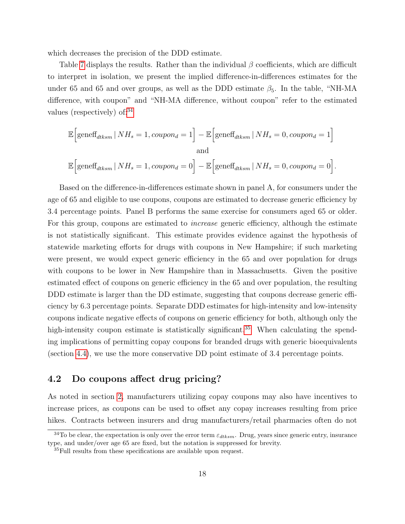which decreases the precision of the DDD estimate.

Table [7](#page-38-0) displays the results. Rather than the individual  $\beta$  coefficients, which are difficult to interpret in isolation, we present the implied difference-in-differences estimates for the under 65 and 65 and over groups, as well as the DDD estimate  $\beta_5$ . In the table, "NH-MA difference, with coupon" and "NH-MA difference, without coupon" refer to the estimated values (respectively) of:[34](#page-17-1)

$$
\mathbb{E}\Big[\text{geneff}_{dtksm} | NH_s = 1, \text{coupon}_d = 1\Big] - \mathbb{E}\Big[\text{geneff}_{dtksm} | NH_s = 0, \text{coupon}_d = 1\Big]
$$
  
and  

$$
\mathbb{E}\Big[\text{geneff}_{dtksm} | NH_s = 1, \text{coupon}_d = 0\Big] - \mathbb{E}\Big[\text{geneff}_{dtksm} | NH_s = 0, \text{coupon}_d = 0\Big].
$$

Based on the difference-in-differences estimate shown in panel A, for consumers under the age of 65 and eligible to use coupons, coupons are estimated to decrease generic efficiency by 3.4 percentage points. Panel B performs the same exercise for consumers aged 65 or older. For this group, coupons are estimated to *increase* generic efficiency, although the estimate is not statistically significant. This estimate provides evidence against the hypothesis of statewide marketing efforts for drugs with coupons in New Hampshire; if such marketing were present, we would expect generic efficiency in the 65 and over population for drugs with coupons to be lower in New Hampshire than in Massachusetts. Given the positive estimated effect of coupons on generic efficiency in the 65 and over population, the resulting DDD estimate is larger than the DD estimate, suggesting that coupons decrease generic efficiency by 6.3 percentage points. Separate DDD estimates for high-intensity and low-intensity coupons indicate negative effects of coupons on generic efficiency for both, although only the high-intensity coupon estimate is statistically significant.<sup>[35](#page-17-2)</sup> When calculating the spending implications of permitting copay coupons for branded drugs with generic bioequivalents (section [4.4\)](#page-21-0), we use the more conservative DD point estimate of 3.4 percentage points.

### <span id="page-17-0"></span>4.2 Do coupons affect drug pricing?

As noted in section [2,](#page-5-0) manufacturers utilizing copay coupons may also have incentives to increase prices, as coupons can be used to offset any copay increases resulting from price hikes. Contracts between insurers and drug manufacturers/retail pharmacies often do not

<span id="page-17-1"></span><sup>&</sup>lt;sup>34</sup>To be clear, the expectation is only over the error term  $\varepsilon_{dtksm}$ . Drug, years since generic entry, insurance type, and under/over age 65 are fixed, but the notation is suppressed for brevity.

<span id="page-17-2"></span> $35$ Full results from these specifications are available upon request.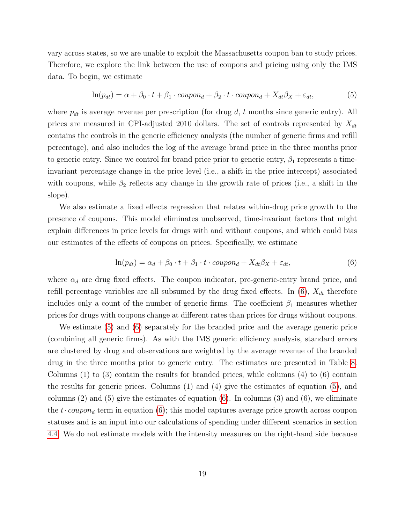vary across states, so we are unable to exploit the Massachusetts coupon ban to study prices. Therefore, we explore the link between the use of coupons and pricing using only the IMS data. To begin, we estimate

<span id="page-18-1"></span>
$$
\ln(p_{dt}) = \alpha + \beta_0 \cdot t + \beta_1 \cdot coupon_d + \beta_2 \cdot t \cdot coupon_d + X_{dt}\beta_X + \varepsilon_{dt},\tag{5}
$$

where  $p_{dt}$  is average revenue per prescription (for drug d, t months since generic entry). All prices are measured in CPI-adjusted 2010 dollars. The set of controls represented by  $X_{dt}$ contains the controls in the generic efficiency analysis (the number of generic firms and refill percentage), and also includes the log of the average brand price in the three months prior to generic entry. Since we control for brand price prior to generic entry,  $\beta_1$  represents a timeinvariant percentage change in the price level (i.e., a shift in the price intercept) associated with coupons, while  $\beta_2$  reflects any change in the growth rate of prices (i.e., a shift in the slope).

We also estimate a fixed effects regression that relates within-drug price growth to the presence of coupons. This model eliminates unobserved, time-invariant factors that might explain differences in price levels for drugs with and without coupons, and which could bias our estimates of the effects of coupons on prices. Specifically, we estimate

<span id="page-18-0"></span>
$$
\ln(p_{dt}) = \alpha_d + \beta_0 \cdot t + \beta_1 \cdot t \cdot coupon_d + X_{dt}\beta_X + \varepsilon_{dt},\tag{6}
$$

where  $\alpha_d$  are drug fixed effects. The coupon indicator, pre-generic-entry brand price, and refill percentage variables are all subsumed by the drug fixed effects. In  $(6)$ ,  $X_{dt}$  therefore includes only a count of the number of generic firms. The coefficient  $\beta_1$  measures whether prices for drugs with coupons change at different rates than prices for drugs without coupons.

We estimate [\(5\)](#page-18-1) and [\(6\)](#page-18-0) separately for the branded price and the average generic price (combining all generic firms). As with the IMS generic efficiency analysis, standard errors are clustered by drug and observations are weighted by the average revenue of the branded drug in the three months prior to generic entry. The estimates are presented in Table [8.](#page-39-0) Columns  $(1)$  to  $(3)$  contain the results for branded prices, while columns  $(4)$  to  $(6)$  contain the results for generic prices. Columns (1) and (4) give the estimates of equation [\(5\)](#page-18-1), and columns  $(2)$  and  $(5)$  give the estimates of equation  $(6)$ . In columns  $(3)$  and  $(6)$ , we eliminate the  $t \cdot coupon_d$  term in equation [\(6\)](#page-18-0); this model captures average price growth across coupon statuses and is an input into our calculations of spending under different scenarios in section [4.4.](#page-21-0) We do not estimate models with the intensity measures on the right-hand side because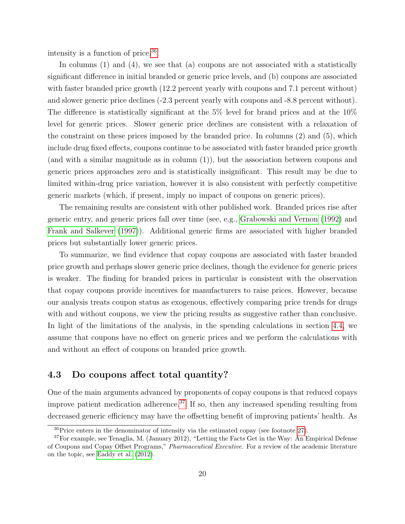intensity is a function of price.[36](#page-19-1)

In columns (1) and (4), we see that (a) coupons are not associated with a statistically significant difference in initial branded or generic price levels, and (b) coupons are associated with faster branded price growth (12.2 percent yearly with coupons and 7.1 percent without) and slower generic price declines (-2.3 percent yearly with coupons and -8.8 percent without). The difference is statistically significant at the 5% level for brand prices and at the 10% level for generic prices. Slower generic price declines are consistent with a relaxation of the constraint on these prices imposed by the branded price. In columns (2) and (5), which include drug fixed effects, coupons continue to be associated with faster branded price growth (and with a similar magnitude as in column (1)), but the association between coupons and generic prices approaches zero and is statistically insignificant. This result may be due to limited within-drug price variation, however it is also consistent with perfectly competitive generic markets (which, if present, imply no impact of coupons on generic prices).

The remaining results are consistent with other published work. Branded prices rise after generic entry, and generic prices fall over time (see, e.g., [Grabowski and Vernon](#page-28-7) [\(1992\)](#page-28-7) and [Frank and Salkever](#page-28-5) [\(1997\)](#page-28-5)). Additional generic firms are associated with higher branded prices but substantially lower generic prices.

To summarize, we find evidence that copay coupons are associated with faster branded price growth and perhaps slower generic price declines, though the evidence for generic prices is weaker. The finding for branded prices in particular is consistent with the observation that copay coupons provide incentives for manufacturers to raise prices. However, because our analysis treats coupon status as exogenous, effectively comparing price trends for drugs with and without coupons, we view the pricing results as suggestive rather than conclusive. In light of the limitations of the analysis, in the spending calculations in section [4.4,](#page-21-0) we assume that coupons have no effect on generic prices and we perform the calculations with and without an effect of coupons on branded price growth.

### <span id="page-19-0"></span>4.3 Do coupons affect total quantity?

One of the main arguments advanced by proponents of copay coupons is that reduced copays improve patient medication adherence.<sup>[37](#page-19-2)</sup> If so, then any increased spending resulting from decreased generic efficiency may have the offsetting benefit of improving patients' health. As

<span id="page-19-2"></span><span id="page-19-1"></span> ${}^{36}$ Price enters in the denominator of intensity via the estimated copay (see footnote [27\)](#page-10-0).

<sup>37</sup>For example, see Tenaglia, M. (January 2012), "Letting the Facts Get in the Way: An Empirical Defense of Coupons and Copay Offset Programs," Pharmaceutical Executive. For a review of the academic literature on the topic, see [Eaddy et al.](#page-28-8) [\(2012\)](#page-28-8).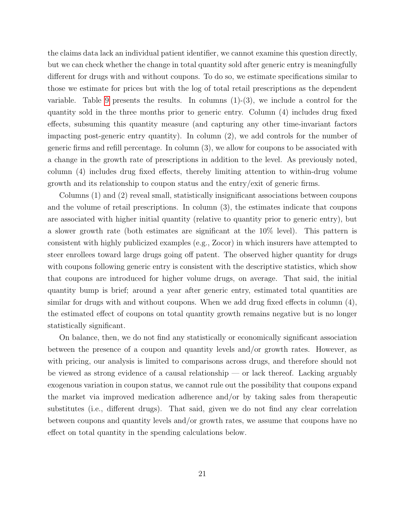the claims data lack an individual patient identifier, we cannot examine this question directly, but we can check whether the change in total quantity sold after generic entry is meaningfully different for drugs with and without coupons. To do so, we estimate specifications similar to those we estimate for prices but with the log of total retail prescriptions as the dependent variable. Table [9](#page-40-0) presents the results. In columns  $(1)-(3)$ , we include a control for the quantity sold in the three months prior to generic entry. Column (4) includes drug fixed effects, subsuming this quantity measure (and capturing any other time-invariant factors impacting post-generic entry quantity). In column (2), we add controls for the number of generic firms and refill percentage. In column (3), we allow for coupons to be associated with a change in the growth rate of prescriptions in addition to the level. As previously noted, column (4) includes drug fixed effects, thereby limiting attention to within-drug volume growth and its relationship to coupon status and the entry/exit of generic firms.

Columns (1) and (2) reveal small, statistically insignificant associations between coupons and the volume of retail prescriptions. In column (3), the estimates indicate that coupons are associated with higher initial quantity (relative to quantity prior to generic entry), but a slower growth rate (both estimates are significant at the 10% level). This pattern is consistent with highly publicized examples (e.g., Zocor) in which insurers have attempted to steer enrollees toward large drugs going off patent. The observed higher quantity for drugs with coupons following generic entry is consistent with the descriptive statistics, which show that coupons are introduced for higher volume drugs, on average. That said, the initial quantity bump is brief; around a year after generic entry, estimated total quantities are similar for drugs with and without coupons. When we add drug fixed effects in column (4), the estimated effect of coupons on total quantity growth remains negative but is no longer statistically significant.

On balance, then, we do not find any statistically or economically significant association between the presence of a coupon and quantity levels and/or growth rates. However, as with pricing, our analysis is limited to comparisons across drugs, and therefore should not be viewed as strong evidence of a causal relationship — or lack thereof. Lacking arguably exogenous variation in coupon status, we cannot rule out the possibility that coupons expand the market via improved medication adherence and/or by taking sales from therapeutic substitutes (i.e., different drugs). That said, given we do not find any clear correlation between coupons and quantity levels and/or growth rates, we assume that coupons have no effect on total quantity in the spending calculations below.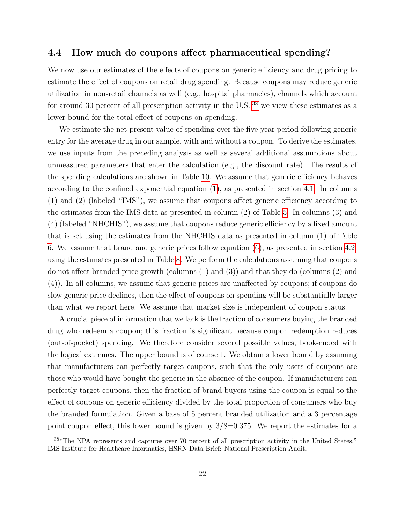### <span id="page-21-0"></span>4.4 How much do coupons affect pharmaceutical spending?

We now use our estimates of the effects of coupons on generic efficiency and drug pricing to estimate the effect of coupons on retail drug spending. Because coupons may reduce generic utilization in non-retail channels as well (e.g., hospital pharmacies), channels which account for around 30 percent of all prescription activity in the U.S.,  $38$  we view these estimates as a lower bound for the total effect of coupons on spending.

We estimate the net present value of spending over the five-year period following generic entry for the average drug in our sample, with and without a coupon. To derive the estimates, we use inputs from the preceding analysis as well as several additional assumptions about unmeasured parameters that enter the calculation (e.g., the discount rate). The results of the spending calculations are shown in Table [10.](#page-41-0) We assume that generic efficiency behaves according to the confined exponential equation [\(1\)](#page-13-0), as presented in section [4.1.](#page-12-1) In columns (1) and (2) (labeled "IMS"), we assume that coupons affect generic efficiency according to the estimates from the IMS data as presented in column (2) of Table [5.](#page-36-0) In columns (3) and (4) (labeled "NHCHIS"), we assume that coupons reduce generic efficiency by a fixed amount that is set using the estimates from the NHCHIS data as presented in column (1) of Table [6.](#page-37-0) We assume that brand and generic prices follow equation [\(6\)](#page-18-0), as presented in section [4.2,](#page-17-0) using the estimates presented in Table [8.](#page-39-0) We perform the calculations assuming that coupons do not affect branded price growth (columns (1) and (3)) and that they do (columns (2) and (4)). In all columns, we assume that generic prices are unaffected by coupons; if coupons do slow generic price declines, then the effect of coupons on spending will be substantially larger than what we report here. We assume that market size is independent of coupon status.

A crucial piece of information that we lack is the fraction of consumers buying the branded drug who redeem a coupon; this fraction is significant because coupon redemption reduces (out-of-pocket) spending. We therefore consider several possible values, book-ended with the logical extremes. The upper bound is of course 1. We obtain a lower bound by assuming that manufacturers can perfectly target coupons, such that the only users of coupons are those who would have bought the generic in the absence of the coupon. If manufacturers can perfectly target coupons, then the fraction of brand buyers using the coupon is equal to the effect of coupons on generic efficiency divided by the total proportion of consumers who buy the branded formulation. Given a base of 5 percent branded utilization and a 3 percentage point coupon effect, this lower bound is given by  $3/8=0.375$ . We report the estimates for a

<span id="page-21-1"></span><sup>38</sup>"The NPA represents and captures over 70 percent of all prescription activity in the United States." IMS Institute for Healthcare Informatics, HSRN Data Brief: National Prescription Audit.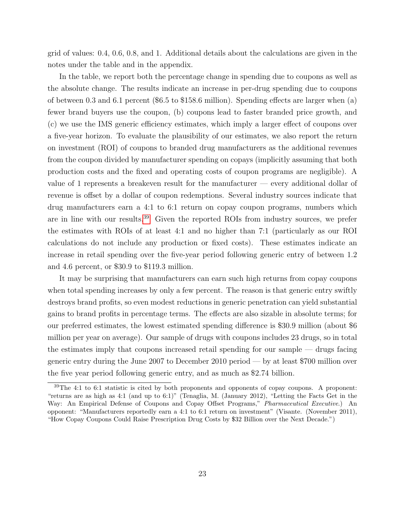grid of values: 0.4, 0.6, 0.8, and 1. Additional details about the calculations are given in the notes under the table and in the appendix.

In the table, we report both the percentage change in spending due to coupons as well as the absolute change. The results indicate an increase in per-drug spending due to coupons of between 0.3 and 6.1 percent (\$6.5 to \$158.6 million). Spending effects are larger when (a) fewer brand buyers use the coupon, (b) coupons lead to faster branded price growth, and (c) we use the IMS generic efficiency estimates, which imply a larger effect of coupons over a five-year horizon. To evaluate the plausibility of our estimates, we also report the return on investment (ROI) of coupons to branded drug manufacturers as the additional revenues from the coupon divided by manufacturer spending on copays (implicitly assuming that both production costs and the fixed and operating costs of coupon programs are negligible). A value of 1 represents a breakeven result for the manufacturer — every additional dollar of revenue is offset by a dollar of coupon redemptions. Several industry sources indicate that drug manufacturers earn a 4:1 to 6:1 return on copay coupon programs, numbers which are in line with our results.[39](#page-22-0) Given the reported ROIs from industry sources, we prefer the estimates with ROIs of at least 4:1 and no higher than 7:1 (particularly as our ROI calculations do not include any production or fixed costs). These estimates indicate an increase in retail spending over the five-year period following generic entry of between 1.2 and 4.6 percent, or \$30.9 to \$119.3 million.

It may be surprising that manufacturers can earn such high returns from copay coupons when total spending increases by only a few percent. The reason is that generic entry swiftly destroys brand profits, so even modest reductions in generic penetration can yield substantial gains to brand profits in percentage terms. The effects are also sizable in absolute terms; for our preferred estimates, the lowest estimated spending difference is \$30.9 million (about \$6 million per year on average). Our sample of drugs with coupons includes 23 drugs, so in total the estimates imply that coupons increased retail spending for our sample — drugs facing generic entry during the June 2007 to December 2010 period — by at least \$700 million over the five year period following generic entry, and as much as \$2.74 billion.

<span id="page-22-0"></span> $39$ The 4:1 to 6:1 statistic is cited by both proponents and opponents of copay coupons. A proponent: "returns are as high as 4:1 (and up to 6:1)" (Tenaglia, M. (January 2012), "Letting the Facts Get in the Way: An Empirical Defense of Coupons and Copay Offset Programs," Pharmaceutical Executive.) An opponent: "Manufacturers reportedly earn a 4:1 to 6:1 return on investment" (Visante. (November 2011), "How Copay Coupons Could Raise Prescription Drug Costs by \$32 Billion over the Next Decade.")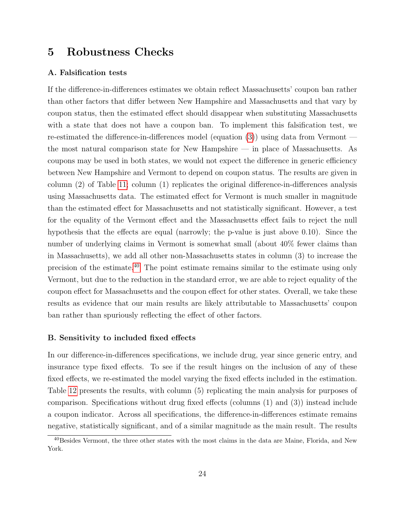# <span id="page-23-0"></span>5 Robustness Checks

#### A. Falsification tests

If the difference-in-differences estimates we obtain reflect Massachusetts' coupon ban rather than other factors that differ between New Hampshire and Massachusetts and that vary by coupon status, then the estimated effect should disappear when substituting Massachusetts with a state that does not have a coupon ban. To implement this falsification test, we re-estimated the difference-in-differences model (equation [\(3\)](#page-14-1)) using data from Vermont the most natural comparison state for New Hampshire — in place of Massachusetts. As coupons may be used in both states, we would not expect the difference in generic efficiency between New Hampshire and Vermont to depend on coupon status. The results are given in column (2) of Table [11;](#page-42-0) column (1) replicates the original difference-in-differences analysis using Massachusetts data. The estimated effect for Vermont is much smaller in magnitude than the estimated effect for Massachusetts and not statistically significant. However, a test for the equality of the Vermont effect and the Massachusetts effect fails to reject the null hypothesis that the effects are equal (narrowly; the p-value is just above 0.10). Since the number of underlying claims in Vermont is somewhat small (about 40% fewer claims than in Massachusetts), we add all other non-Massachusetts states in column (3) to increase the precision of the estimate.[40](#page-23-1) The point estimate remains similar to the estimate using only Vermont, but due to the reduction in the standard error, we are able to reject equality of the coupon effect for Massachusetts and the coupon effect for other states. Overall, we take these results as evidence that our main results are likely attributable to Massachusetts' coupon ban rather than spuriously reflecting the effect of other factors.

#### B. Sensitivity to included fixed effects

In our difference-in-differences specifications, we include drug, year since generic entry, and insurance type fixed effects. To see if the result hinges on the inclusion of any of these fixed effects, we re-estimated the model varying the fixed effects included in the estimation. Table [12](#page-43-0) presents the results, with column (5) replicating the main analysis for purposes of comparison. Specifications without drug fixed effects (columns (1) and (3)) instead include a coupon indicator. Across all specifications, the difference-in-differences estimate remains negative, statistically significant, and of a similar magnitude as the main result. The results

<span id="page-23-1"></span><sup>&</sup>lt;sup>40</sup>Besides Vermont, the three other states with the most claims in the data are Maine, Florida, and New York.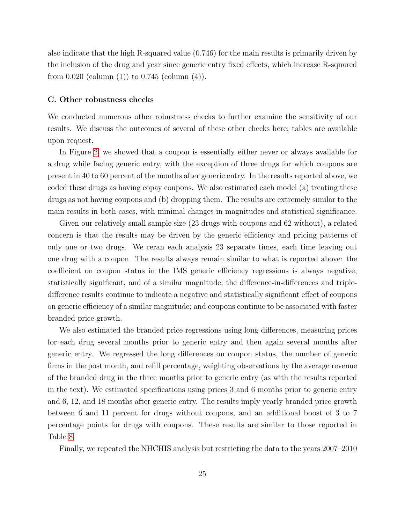also indicate that the high R-squared value (0.746) for the main results is primarily driven by the inclusion of the drug and year since generic entry fixed effects, which increase R-squared from  $0.020$  (column  $(1)$ ) to  $0.745$  (column  $(4)$ ).

#### C. Other robustness checks

We conducted numerous other robustness checks to further examine the sensitivity of our results. We discuss the outcomes of several of these other checks here; tables are available upon request.

In Figure [2,](#page-31-1) we showed that a coupon is essentially either never or always available for a drug while facing generic entry, with the exception of three drugs for which coupons are present in 40 to 60 percent of the months after generic entry. In the results reported above, we coded these drugs as having copay coupons. We also estimated each model (a) treating these drugs as not having coupons and (b) dropping them. The results are extremely similar to the main results in both cases, with minimal changes in magnitudes and statistical significance.

Given our relatively small sample size (23 drugs with coupons and 62 without), a related concern is that the results may be driven by the generic efficiency and pricing patterns of only one or two drugs. We reran each analysis 23 separate times, each time leaving out one drug with a coupon. The results always remain similar to what is reported above: the coefficient on coupon status in the IMS generic efficiency regressions is always negative, statistically significant, and of a similar magnitude; the difference-in-differences and tripledifference results continue to indicate a negative and statistically significant effect of coupons on generic efficiency of a similar magnitude; and coupons continue to be associated with faster branded price growth.

We also estimated the branded price regressions using long differences, measuring prices for each drug several months prior to generic entry and then again several months after generic entry. We regressed the long differences on coupon status, the number of generic firms in the post month, and refill percentage, weighting observations by the average revenue of the branded drug in the three months prior to generic entry (as with the results reported in the text). We estimated specifications using prices 3 and 6 months prior to generic entry and 6, 12, and 18 months after generic entry. The results imply yearly branded price growth between 6 and 11 percent for drugs without coupons, and an additional boost of 3 to 7 percentage points for drugs with coupons. These results are similar to those reported in Table [8.](#page-39-0)

Finally, we repeated the NHCHIS analysis but restricting the data to the years 2007–2010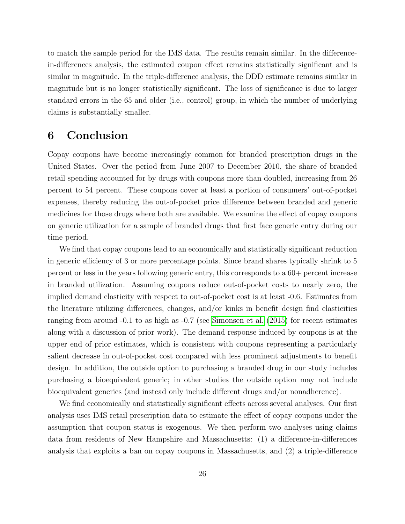to match the sample period for the IMS data. The results remain similar. In the differencein-differences analysis, the estimated coupon effect remains statistically significant and is similar in magnitude. In the triple-difference analysis, the DDD estimate remains similar in magnitude but is no longer statistically significant. The loss of significance is due to larger standard errors in the 65 and older (i.e., control) group, in which the number of underlying claims is substantially smaller.

# <span id="page-25-0"></span>6 Conclusion

Copay coupons have become increasingly common for branded prescription drugs in the United States. Over the period from June 2007 to December 2010, the share of branded retail spending accounted for by drugs with coupons more than doubled, increasing from 26 percent to 54 percent. These coupons cover at least a portion of consumers' out-of-pocket expenses, thereby reducing the out-of-pocket price difference between branded and generic medicines for those drugs where both are available. We examine the effect of copay coupons on generic utilization for a sample of branded drugs that first face generic entry during our time period.

We find that copay coupons lead to an economically and statistically significant reduction in generic efficiency of 3 or more percentage points. Since brand shares typically shrink to 5 percent or less in the years following generic entry, this corresponds to a 60+ percent increase in branded utilization. Assuming coupons reduce out-of-pocket costs to nearly zero, the implied demand elasticity with respect to out-of-pocket cost is at least -0.6. Estimates from the literature utilizing differences, changes, and/or kinks in benefit design find elasticities ranging from around -0.1 to as high as -0.7 (see [Simonsen et al.](#page-30-2) [\(2015\)](#page-30-2) for recent estimates along with a discussion of prior work). The demand response induced by coupons is at the upper end of prior estimates, which is consistent with coupons representing a particularly salient decrease in out-of-pocket cost compared with less prominent adjustments to benefit design. In addition, the outside option to purchasing a branded drug in our study includes purchasing a bioequivalent generic; in other studies the outside option may not include bioequivalent generics (and instead only include different drugs and/or nonadherence).

We find economically and statistically significant effects across several analyses. Our first analysis uses IMS retail prescription data to estimate the effect of copay coupons under the assumption that coupon status is exogenous. We then perform two analyses using claims data from residents of New Hampshire and Massachusetts: (1) a difference-in-differences analysis that exploits a ban on copay coupons in Massachusetts, and (2) a triple-difference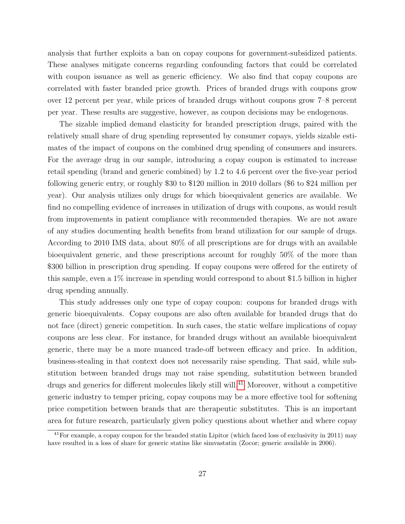analysis that further exploits a ban on copay coupons for government-subsidized patients. These analyses mitigate concerns regarding confounding factors that could be correlated with coupon issuance as well as generic efficiency. We also find that copay coupons are correlated with faster branded price growth. Prices of branded drugs with coupons grow over 12 percent per year, while prices of branded drugs without coupons grow 7–8 percent per year. These results are suggestive, however, as coupon decisions may be endogenous.

The sizable implied demand elasticity for branded prescription drugs, paired with the relatively small share of drug spending represented by consumer copays, yields sizable estimates of the impact of coupons on the combined drug spending of consumers and insurers. For the average drug in our sample, introducing a copay coupon is estimated to increase retail spending (brand and generic combined) by 1.2 to 4.6 percent over the five-year period following generic entry, or roughly \$30 to \$120 million in 2010 dollars (\$6 to \$24 million per year). Our analysis utilizes only drugs for which bioequivalent generics are available. We find no compelling evidence of increases in utilization of drugs with coupons, as would result from improvements in patient compliance with recommended therapies. We are not aware of any studies documenting health benefits from brand utilization for our sample of drugs. According to 2010 IMS data, about 80% of all prescriptions are for drugs with an available bioequivalent generic, and these prescriptions account for roughly 50% of the more than \$300 billion in prescription drug spending. If copay coupons were offered for the entirety of this sample, even a 1% increase in spending would correspond to about \$1.5 billion in higher drug spending annually.

This study addresses only one type of copay coupon: coupons for branded drugs with generic bioequivalents. Copay coupons are also often available for branded drugs that do not face (direct) generic competition. In such cases, the static welfare implications of copay coupons are less clear. For instance, for branded drugs without an available bioequivalent generic, there may be a more nuanced trade-off between efficacy and price. In addition, business-stealing in that context does not necessarily raise spending. That said, while substitution between branded drugs may not raise spending, substitution between branded drugs and generics for different molecules likely still will.<sup>[41](#page-26-0)</sup> Moreover, without a competitive generic industry to temper pricing, copay coupons may be a more effective tool for softening price competition between brands that are therapeutic substitutes. This is an important area for future research, particularly given policy questions about whether and where copay

<span id="page-26-0"></span><sup>&</sup>lt;sup>41</sup>For example, a copay coupon for the branded statin Lipitor (which faced loss of exclusivity in 2011) may have resulted in a loss of share for generic statins like simvastatin (Zocor; generic available in 2006).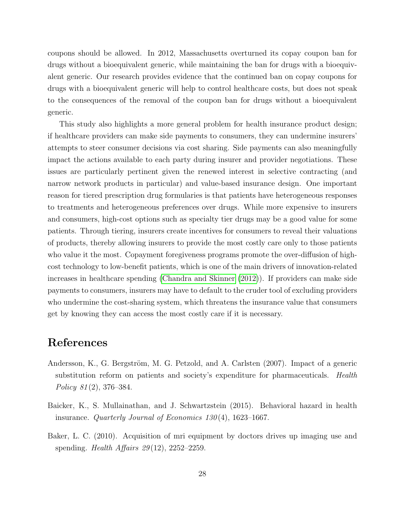coupons should be allowed. In 2012, Massachusetts overturned its copay coupon ban for drugs without a bioequivalent generic, while maintaining the ban for drugs with a bioequivalent generic. Our research provides evidence that the continued ban on copay coupons for drugs with a bioequivalent generic will help to control healthcare costs, but does not speak to the consequences of the removal of the coupon ban for drugs without a bioequivalent generic.

This study also highlights a more general problem for health insurance product design; if healthcare providers can make side payments to consumers, they can undermine insurers' attempts to steer consumer decisions via cost sharing. Side payments can also meaningfully impact the actions available to each party during insurer and provider negotiations. These issues are particularly pertinent given the renewed interest in selective contracting (and narrow network products in particular) and value-based insurance design. One important reason for tiered prescription drug formularies is that patients have heterogeneous responses to treatments and heterogeneous preferences over drugs. While more expensive to insurers and consumers, high-cost options such as specialty tier drugs may be a good value for some patients. Through tiering, insurers create incentives for consumers to reveal their valuations of products, thereby allowing insurers to provide the most costly care only to those patients who value it the most. Copayment foregiveness programs promote the over-diffusion of highcost technology to low-benefit patients, which is one of the main drivers of innovation-related increases in healthcare spending [\(Chandra and Skinner](#page-28-9) [\(2012\)](#page-28-9)). If providers can make side payments to consumers, insurers may have to default to the cruder tool of excluding providers who undermine the cost-sharing system, which threatens the insurance value that consumers get by knowing they can access the most costly care if it is necessary.

### References

- <span id="page-27-2"></span>Andersson, K., G. Bergström, M. G. Petzold, and A. Carlsten (2007). Impact of a generic substitution reform on patients and society's expenditure for pharmaceuticals. Health Policy 81 (2), 376–384.
- <span id="page-27-0"></span>Baicker, K., S. Mullainathan, and J. Schwartzstein (2015). Behavioral hazard in health insurance. *Quarterly Journal of Economics 130* $(4)$ , 1623–1667.
- <span id="page-27-1"></span>Baker, L. C. (2010). Acquisition of mri equipment by doctors drives up imaging use and spending. Health Affairs  $29(12)$ ,  $2252-2259$ .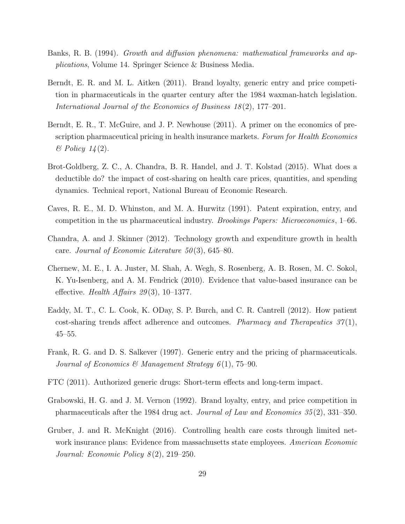- <span id="page-28-6"></span>Banks, R. B. (1994). Growth and diffusion phenomena: mathematical frameworks and applications, Volume 14. Springer Science & Business Media.
- <span id="page-28-3"></span>Berndt, E. R. and M. L. Aitken (2011). Brand loyalty, generic entry and price competition in pharmaceuticals in the quarter century after the 1984 waxman-hatch legislation. International Journal of the Economics of Business 18(2), 177–201.
- <span id="page-28-10"></span>Berndt, E. R., T. McGuire, and J. P. Newhouse (2011). A primer on the economics of prescription pharmaceutical pricing in health insurance markets. Forum for Health Economics  $\mathscr B$  Policy 14(2).
- <span id="page-28-1"></span>Brot-Goldberg, Z. C., A. Chandra, B. R. Handel, and J. T. Kolstad (2015). What does a deductible do? the impact of cost-sharing on health care prices, quantities, and spending dynamics. Technical report, National Bureau of Economic Research.
- <span id="page-28-4"></span>Caves, R. E., M. D. Whinston, and M. A. Hurwitz (1991). Patent expiration, entry, and competition in the us pharmaceutical industry. Brookings Papers: Microeconomics, 1–66.
- <span id="page-28-9"></span>Chandra, A. and J. Skinner (2012). Technology growth and expenditure growth in health care. Journal of Economic Literature 50(3), 645–80.
- <span id="page-28-0"></span>Chernew, M. E., I. A. Juster, M. Shah, A. Wegh, S. Rosenberg, A. B. Rosen, M. C. Sokol, K. Yu-Isenberg, and A. M. Fendrick (2010). Evidence that value-based insurance can be effective. Health Affairs  $29(3)$ , 10-1377.
- <span id="page-28-8"></span>Eaddy, M. T., C. L. Cook, K. ODay, S. P. Burch, and C. R. Cantrell (2012). How patient cost-sharing trends affect adherence and outcomes. *Pharmacy and Therapeutics*  $37(1)$ , 45–55.
- <span id="page-28-5"></span>Frank, R. G. and D. S. Salkever (1997). Generic entry and the pricing of pharmaceuticals. Journal of Economics & Management Strategy  $6(1)$ , 75–90.
- <span id="page-28-11"></span>FTC (2011). Authorized generic drugs: Short-term effects and long-term impact.
- <span id="page-28-7"></span>Grabowski, H. G. and J. M. Vernon (1992). Brand loyalty, entry, and price competition in pharmaceuticals after the 1984 drug act. Journal of Law and Economics 35 (2), 331–350.
- <span id="page-28-2"></span>Gruber, J. and R. McKnight (2016). Controlling health care costs through limited network insurance plans: Evidence from massachusetts state employees. American Economic Journal: Economic Policy  $8(2)$ , 219–250.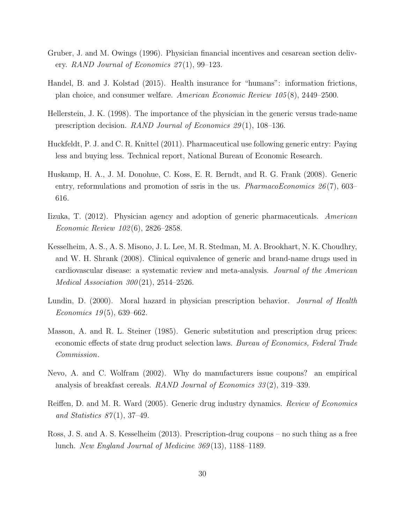- <span id="page-29-3"></span>Gruber, J. and M. Owings (1996). Physician financial incentives and cesarean section delivery. RAND Journal of Economics  $27(1)$ , 99–123.
- <span id="page-29-1"></span>Handel, B. and J. Kolstad (2015). Health insurance for "humans": information frictions, plan choice, and consumer welfare. American Economic Review 105 (8), 2449–2500.
- <span id="page-29-4"></span>Hellerstein, J. K. (1998). The importance of the physician in the generic versus trade-name prescription decision. RAND Journal of Economics 29 (1), 108–136.
- <span id="page-29-2"></span>Huckfeldt, P. J. and C. R. Knittel (2011). Pharmaceutical use following generic entry: Paying less and buying less. Technical report, National Bureau of Economic Research.
- <span id="page-29-7"></span>Huskamp, H. A., J. M. Donohue, C. Koss, E. R. Berndt, and R. G. Frank (2008). Generic entry, reformulations and promotion of ssris in the us. *PharmacoEconomics* 26(7), 603– 616.
- <span id="page-29-6"></span>Iizuka, T. (2012). Physician agency and adoption of generic pharmaceuticals. American Economic Review 102 (6), 2826–2858.
- <span id="page-29-0"></span>Kesselheim, A. S., A. S. Misono, J. L. Lee, M. R. Stedman, M. A. Brookhart, N. K. Choudhry, and W. H. Shrank (2008). Clinical equivalence of generic and brand-name drugs used in cardiovascular disease: a systematic review and meta-analysis. Journal of the American *Medical Association 300* $(21)$ , 2514–2526.
- <span id="page-29-5"></span>Lundin, D. (2000). Moral hazard in physician prescription behavior. *Journal of Health* Economics  $19(5)$ , 639–662.
- <span id="page-29-9"></span>Masson, A. and R. L. Steiner (1985). Generic substitution and prescription drug prices: economic effects of state drug product selection laws. Bureau of Economics, Federal Trade Commission.
- <span id="page-29-8"></span>Nevo, A. and C. Wolfram (2002). Why do manufacturers issue coupons? an empirical analysis of breakfast cereals. RAND Journal of Economics 33 (2), 319–339.
- <span id="page-29-11"></span>Reiffen, D. and M. R. Ward (2005). Generic drug industry dynamics. Review of Economics and Statistics  $87(1)$ , 37-49.
- <span id="page-29-10"></span>Ross, J. S. and A. S. Kesselheim (2013). Prescription-drug coupons – no such thing as a free lunch. New England Journal of Medicine 369 (13), 1188–1189.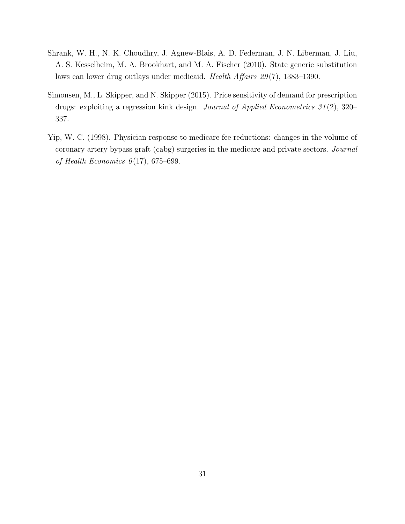- <span id="page-30-1"></span>Shrank, W. H., N. K. Choudhry, J. Agnew-Blais, A. D. Federman, J. N. Liberman, J. Liu, A. S. Kesselheim, M. A. Brookhart, and M. A. Fischer (2010). State generic substitution laws can lower drug outlays under medicaid. Health Affairs 29 (7), 1383–1390.
- <span id="page-30-2"></span>Simonsen, M., L. Skipper, and N. Skipper (2015). Price sensitivity of demand for prescription drugs: exploiting a regression kink design. Journal of Applied Econometrics 31 (2), 320– 337.
- <span id="page-30-0"></span>Yip, W. C. (1998). Physician response to medicare fee reductions: changes in the volume of coronary artery bypass graft (cabg) surgeries in the medicare and private sectors. Journal of Health Economics  $6(17)$ , 675–699.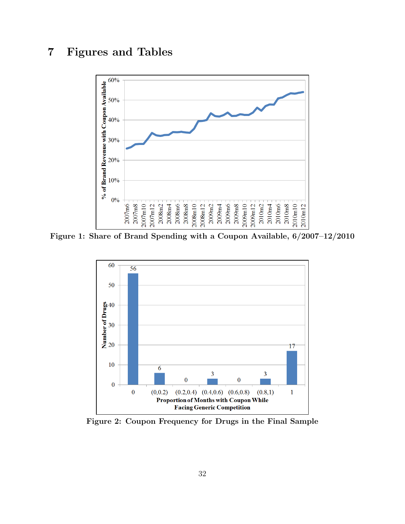# <span id="page-31-0"></span>7 Figures and Tables



<span id="page-31-1"></span>Figure 1: Share of Brand Spending with a Coupon Available, 6/2007–12/2010



Figure 2: Coupon Frequency for Drugs in the Final Sample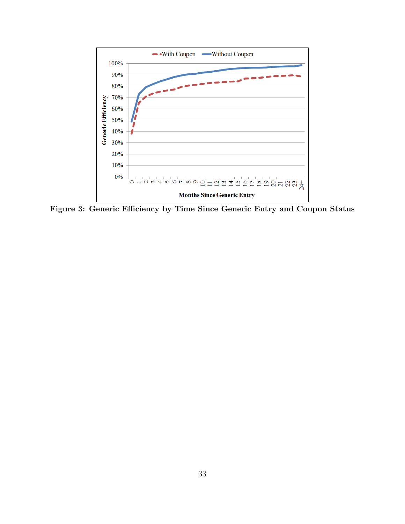<span id="page-32-0"></span>

Figure 3: Generic Efficiency by Time Since Generic Entry and Coupon Status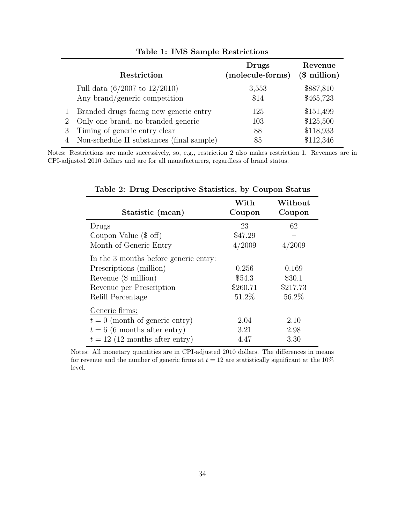<span id="page-33-0"></span>

|   | Restriction                               | Drugs<br>(molecule-forms) | Revenue<br>$$$ million) |
|---|-------------------------------------------|---------------------------|-------------------------|
|   | Full data $(6/2007 \text{ to } 12/2010)$  | 3,553                     | \$887,810               |
|   | Any brand/generic competition             | 814                       | \$465,723               |
| 3 | Branded drugs facing new generic entry    | 125                       | \$151,499               |
|   | Only one brand, no branded generic        | 103                       | \$125,500               |
|   | Timing of generic entry clear             | 88                        | \$118,933               |
|   | Non-schedule II substances (final sample) | 85                        | \$112,346               |

Table 1: IMS Sample Restrictions

<span id="page-33-1"></span>Notes: Restrictions are made successively, so, e.g., restriction 2 also makes restriction 1. Revenues are in CPI-adjusted 2010 dollars and are for all manufacturers, regardless of brand status.

| Statistic (mean)                      | With<br>Coupon | Without<br>Coupon |
|---------------------------------------|----------------|-------------------|
| Drugs                                 | 23             | 62                |
| Coupon Value $(\$$ off)               | \$47.29        |                   |
| Month of Generic Entry                | 4/2009         | 4/2009            |
| In the 3 months before generic entry: |                |                   |
| Prescriptions (million)               | 0.256          | 0.169             |
| Revenue $(\$$ million)                | \$54.3         | \$30.1            |
| Revenue per Prescription              | \$260.71       | \$217.73          |
| Refill Percentage                     | 51.2\%         | 56.2%             |
| Generic firms:                        |                |                   |
| $t = 0$ (month of generic entry)      | 2.04           | 2.10              |
| $t = 6$ (6 months after entry)        | 3.21           | 2.98              |
| $t = 12$ (12 months after entry)      | 4.47           | 3.30              |

Table 2: Drug Descriptive Statistics, by Coupon Status

Notes: All monetary quantities are in CPI-adjusted 2010 dollars. The differences in means for revenue and the number of generic firms at  $t = 12$  are statistically significant at the 10% level.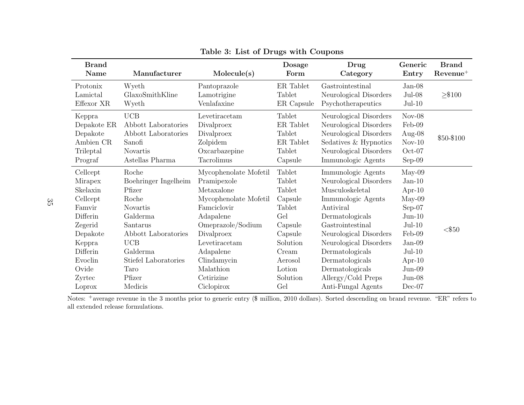| <b>Brand</b> |                      |                       | Dosage            | Drug                   | Generic   | <b>Brand</b> |
|--------------|----------------------|-----------------------|-------------------|------------------------|-----------|--------------|
| <b>Name</b>  | Manufacturer         | Molecule(s)           | Form              | Category               | Entry     | $Revenue^+$  |
| Protonix     | Wyeth                | Pantoprazole          | ER Tablet         | Gastrointestinal       | $Jan-08$  |              |
| Lamictal     | GlaxoSmithKline      | Lamotrigine           | Tablet            | Neurological Disorders | $Jul-08$  | $\geq$ \$100 |
| Effexor XR   | Wyeth                | Venlafaxine           | ER Capsule        | Psychotherapeutics     | $Jul-10$  |              |
| Keppra       | UCB                  | Levetiracetam         | Tablet            | Neurological Disorders | $Nov-08$  |              |
| Depakote ER  | Abbott Laboratories  | Divalproex            | ${\rm ER}$ Tablet | Neurological Disorders | Feb-09    |              |
| Depakote     | Abbott Laboratories  | Divalproex            | Tablet            | Neurological Disorders | Aug- $08$ | \$50-\$100   |
| Ambien CR    | Sanofi               | Zolpidem              | ER Tablet         | Sedatives & Hypnotics  | $Nov-10$  |              |
| Trileptal    | <b>Novartis</b>      | Oxcarbazepine         | Tablet            | Neurological Disorders | $Oct-07$  |              |
| Prograf      | Astellas Pharma      | Tacrolimus            | Capsule           | Immunologic Agents     | $Sep-09$  |              |
| Cellcept     | Roche                | Mycophenolate Mofetil | Tablet            | Immunologic Agents     | $May-09$  |              |
| Mirapex      | Boehringer Ingelheim | Pramipexole           | Tablet            | Neurological Disorders | $Jan-10$  |              |
| Skelaxin     | Pfizer               | Metaxalone            | Tablet            | Musculoskeletal        | Apr- $10$ |              |
| Cellcept     | Roche                | Mycophenolate Mofetil | Capsule           | Immunologic Agents     | $May-09$  |              |
| Famvir       | <b>Novartis</b>      | Famciclovir           | Tablet            | Antiviral              | $Sep-07$  |              |
| Differin     | Galderma             | Adapalene             | Gel               | Dermatologicals        | $Jun-10$  |              |
| Zegerid      | Santarus             | Omeprazole/Sodium     | Capsule           | Gastrointestinal       | $Jul-10$  | $<$ \$50     |
| Depakote     | Abbott Laboratories  | Divalproex            | Capsule           | Neurological Disorders | Feb-09    |              |
| Keppra       | UCB                  | Levetiracetam         | Solution          | Neurological Disorders | $Jan-09$  |              |
| Differin     | Galderma             | Adapalene             | Cream             | Dermatologicals        | $Jul-10$  |              |
| Evoclin      | Stiefel Laboratories | Clindamycin           | Aerosol           | Dermatologicals        | Apr- $10$ |              |
| Ovide        | Taro                 | Malathion             | Lotion            | Dermatologicals        | $Jun-09$  |              |
| Zyrtec       | Pfizer               | Cetirizine            | Solution          | Allergy/Cold Preps     | $Jun-08$  |              |
| Loprox       | Medicis              | Ciclopirox            | Gel               | Anti-Fungal Agents     | $Dec-07$  |              |

Table 3: List of Drugs with Coupons

<span id="page-34-0"></span>Notes: <sup>+</sup>average revenue in the <sup>3</sup> months prior to generic entry (\$ million, <sup>2010</sup> dollars). Sorted descending on brand revenue. "ER" refers to all extended release formulations.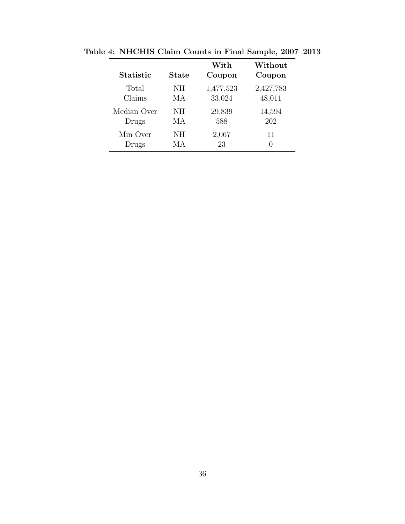| <b>Statistic</b> | State | With<br>Coupon | Without<br>Coupon |
|------------------|-------|----------------|-------------------|
| Total            | NH    | 1,477,523      | 2,427,783         |
| Claims           | МA    | 33,024         | 48,011            |
| Median Over      | NH    | 29,839         | 14,594            |
| Drugs            | МA    | 588            | 202               |
| Min Over         | NH    | 2,067          | 11                |
| Drugs            | МA    | 23             | $\left( \right)$  |

<span id="page-35-0"></span>Table 4: NHCHIS Claim Counts in Final Sample, 2007–2013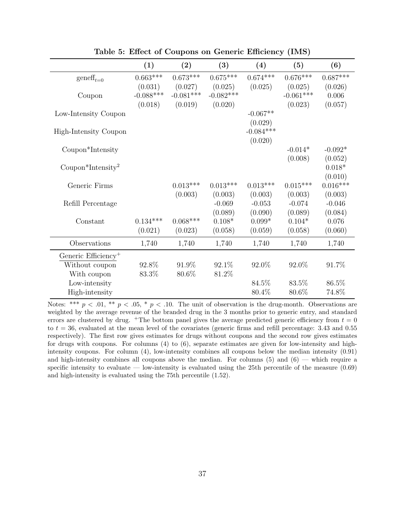<span id="page-36-0"></span>

|                                 | (1)         | (2)         | (3)         | (4)         | (5)         | (6)        |
|---------------------------------|-------------|-------------|-------------|-------------|-------------|------------|
| $gen\mathrm{eff}_{t=0}$         | $0.663***$  | $0.673***$  | $0.675***$  | $0.674***$  | $0.676***$  | $0.687***$ |
|                                 | (0.031)     | (0.027)     | (0.025)     | (0.025)     | (0.025)     | (0.026)    |
| Coupon                          | $-0.088***$ | $-0.081***$ | $-0.082***$ |             | $-0.061***$ | 0.006      |
|                                 | (0.018)     | (0.019)     | (0.020)     |             | (0.023)     | (0.057)    |
| Low-Intensity Coupon            |             |             |             | $-0.067**$  |             |            |
|                                 |             |             |             | (0.029)     |             |            |
| High-Intensity Coupon           |             |             |             | $-0.084***$ |             |            |
|                                 |             |             |             | (0.020)     |             |            |
| Coupon*Intensity                |             |             |             |             | $-0.014*$   | $-0.092*$  |
|                                 |             |             |             |             | (0.008)     | (0.052)    |
| Coupon*Intensity <sup>2</sup>   |             |             |             |             |             | $0.018*$   |
|                                 |             |             |             |             |             | (0.010)    |
| Generic Firms                   |             | $0.013***$  | $0.013***$  | $0.013***$  | $0.015***$  | $0.016***$ |
|                                 |             | (0.003)     | (0.003)     | (0.003)     | (0.003)     | (0.003)    |
| Refill Percentage               |             |             | $-0.069$    | $-0.053$    | $-0.074$    | $-0.046$   |
|                                 |             |             | (0.089)     | (0.090)     | (0.089)     | (0.084)    |
| Constant                        | $0.134***$  | $0.068***$  | $0.108*$    | $0.099*$    | $0.104*$    | 0.076      |
|                                 | (0.021)     | (0.023)     | (0.058)     | (0.059)     | (0.058)     | (0.060)    |
| Observations                    | 1,740       | 1,740       | 1,740       | 1,740       | 1,740       | 1,740      |
| Generic Efficiency <sup>+</sup> |             |             |             |             |             |            |
| Without coupon                  | 92.8%       | 91.9%       | 92.1%       | 92.0%       | 92.0%       | 91.7%      |
| With coupon                     | 83.3%       | 80.6%       | 81.2%       |             |             |            |
| Low-intensity                   |             |             |             | 84.5%       | 83.5%       | 86.5%      |
| High-intensity                  |             |             |             | 80.4%       | 80.6%       | 74.8%      |

Table 5: Effect of Coupons on Generic Efficiency (IMS)

Notes: \*\*\*  $p < .01$ , \*\*  $p < .05$ , \*  $p < .10$ . The unit of observation is the drug-month. Observations are weighted by the average revenue of the branded drug in the 3 months prior to generic entry, and standard errors are clustered by drug. <sup>+</sup>The bottom panel gives the average predicted generic efficiency from  $t = 0$ to  $t = 36$ , evaluated at the mean level of the covariates (generic firms and refill percentage: 3.43 and 0.55 respectively). The first row gives estimates for drugs without coupons and the second row gives estimates for drugs with coupons. For columns  $(4)$  to  $(6)$ , separate estimates are given for low-intensity and highintensity coupons. For column (4), low-intensity combines all coupons below the median intensity (0.91) and high-intensity combines all coupons above the median. For columns  $(5)$  and  $(6)$  — which require a specific intensity to evaluate — low-intensity is evaluated using the 25th percentile of the measure  $(0.69)$ and high-intensity is evaluated using the 75th percentile (1.52).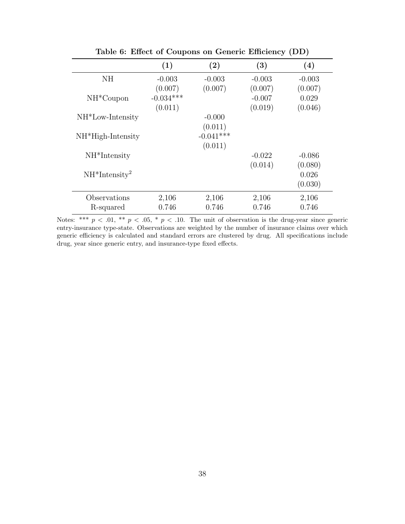<span id="page-37-0"></span>

|                     | (1)         | (2)         | (3)      | (4)      |
|---------------------|-------------|-------------|----------|----------|
| NH                  | $-0.003$    | $-0.003$    | $-0.003$ | $-0.003$ |
|                     | (0.007)     | (0.007)     | (0.007)  | (0.007)  |
| $NH*Coupon$         | $-0.034***$ |             | $-0.007$ | 0.029    |
|                     | (0.011)     |             | (0.019)  | (0.046)  |
| $NH*Low-Intensity$  |             | $-0.000$    |          |          |
|                     |             | (0.011)     |          |          |
| $NH*High-Intensity$ |             | $-0.041***$ |          |          |
|                     |             | (0.011)     |          |          |
| $NH*Intensity$      |             |             | $-0.022$ | $-0.086$ |
|                     |             |             | (0.014)  | (0.080)  |
| $NH*Intensity2$     |             |             |          | 0.026    |
|                     |             |             |          | (0.030)  |
| Observations        | 2,106       | 2,106       | 2,106    | 2,106    |
| R-squared           | 0.746       | 0.746       | 0.746    | 0.746    |

Table 6: Effect of Coupons on Generic Efficiency (DD)

Notes: \*\*\*  $p < .01$ , \*\*  $p < .05$ , \*  $p < .10$ . The unit of observation is the drug-year since generic entry-insurance type-state. Observations are weighted by the number of insurance claims over which generic efficiency is calculated and standard errors are clustered by drug. All specifications include drug, year since generic entry, and insurance-type fixed effects.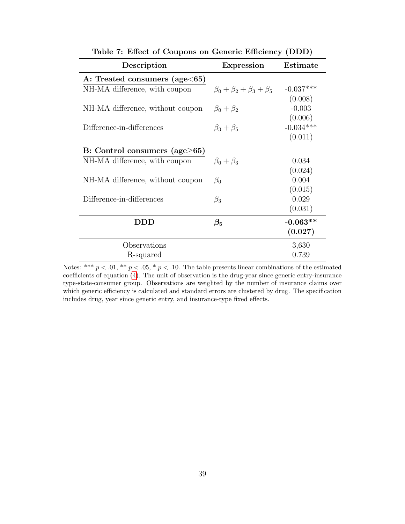<span id="page-38-0"></span>

| Description                           | <b>Expression</b>                       | Estimate    |
|---------------------------------------|-----------------------------------------|-------------|
| A: Treated consumers (age $<65$ )     |                                         |             |
| NH-MA difference, with coupon         | $\beta_0 + \beta_2 + \beta_3 + \beta_5$ | $-0.037***$ |
|                                       |                                         | (0.008)     |
| NH-MA difference, without coupon      | $\beta_0 + \beta_2$                     | $-0.003$    |
|                                       |                                         | (0.006)     |
| Difference-in-differences             | $\beta_3+\beta_5$                       | $-0.034***$ |
|                                       |                                         | (0.011)     |
| B: Control consumers (age $\geq 65$ ) |                                         |             |
| NH-MA difference, with coupon         | $\beta_0 + \beta_3$                     | 0.034       |
|                                       |                                         | (0.024)     |
| NH-MA difference, without coupon      | $\beta_0$                               | 0.004       |
|                                       |                                         | (0.015)     |
| Difference-in-differences             | $\beta_3$                               | 0.029       |
|                                       |                                         | (0.031)     |
| DDD                                   | $\beta_5$                               | $-0.063**$  |
|                                       |                                         | (0.027)     |
| Observations                          |                                         | 3,630       |
| R-squared                             |                                         | 0.739       |

Table 7: Effect of Coupons on Generic Efficiency (DDD)

Notes: \*\*\*  $p < .01$ , \*\*  $p < .05$ , \*  $p < .10$ . The table presents linear combinations of the estimated coefficients of equation [\(4\)](#page-16-1). The unit of observation is the drug-year since generic entry-insurance type-state-consumer group. Observations are weighted by the number of insurance claims over which generic efficiency is calculated and standard errors are clustered by drug. The specification includes drug, year since generic entry, and insurance-type fixed effects.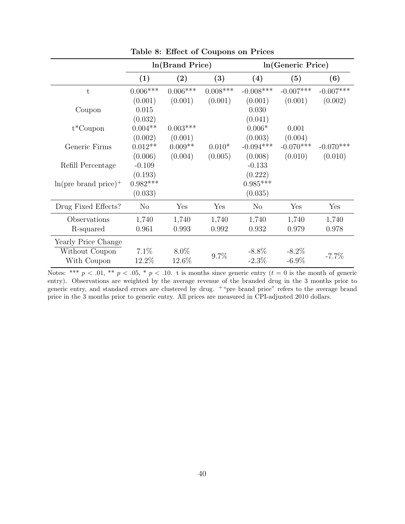<span id="page-39-0"></span>

|                         | In (Brand Price) |            |            | In(Generic Price) |             |             |
|-------------------------|------------------|------------|------------|-------------------|-------------|-------------|
|                         | (1)              | (2)        | (3)        | (4)               | (5)         | (6)         |
| t                       | $0.006***$       | $0.006***$ | $0.008***$ | $-0.008$ ***      | $-0.007***$ | $-0.007***$ |
|                         | (0.001)          | (0.001)    | (0.001)    | (0.001)           | (0.001)     | (0.002)     |
| Coupon                  | 0.015            |            |            | 0.030             |             |             |
|                         | (0.032)          |            |            | (0.041)           |             |             |
| $t^*$ Coupon            | $0.004**$        | $0.003***$ |            | $0.006*$          | 0.001       |             |
|                         | (0.002)          | (0.001)    |            | (0.003)           | (0.004)     |             |
| Generic Firms           | $0.012**$        | $0.009**$  | $0.010*$   | $-0.094***$       | $-0.070***$ | $-0.070***$ |
|                         | (0.006)          | (0.004)    | (0.005)    | (0.008)           | (0.010)     | (0.010)     |
| Refill Percentage       | $-0.109$         |            |            | $-0.133$          |             |             |
|                         | (0.193)          |            |            | (0.222)           |             |             |
| $ln(pre~brand~price)^+$ | $0.982***$       |            |            | $0.985***$        |             |             |
|                         | (0.033)          |            |            | (0.035)           |             |             |
| Drug Fixed Effects?     | N <sub>o</sub>   | Yes        | Yes        | $\rm No$          | Yes         | Yes         |
| Observations            | 1,740            | 1,740      | 1,740      | 1,740             | 1,740       | 1,740       |
| R-squared               | 0.961            | 0.993      | 0.992      | 0.932             | 0.979       | 0.978       |
| Yearly Price Change     |                  |            |            |                   |             |             |
| Without Coupon          | $7.1\%$          | 8.0%       |            | $-8.8\%$          | $-8.2\%$    |             |
| With Coupon             | 12.2%            | 12.6%      | 9.7%       | $-2.3\%$          | $-6.9\%$    | $-7.7\%$    |

Table 8: Effect of Coupons on Prices

Notes: \*\*\*  $p < .01$ , \*\*  $p < .05$ , \*  $p < .10$ . t is months since generic entry  $(t = 0$  is the month of generic entry). Observations are weighted by the average revenue of the branded drug in the 3 months prior to generic entry, and standard errors are clustered by drug. <sup>+</sup>"pre brand price" refers to the average brand price in the 3 months prior to generic entry. All prices are measured in CPI-adjusted 2010 dollars.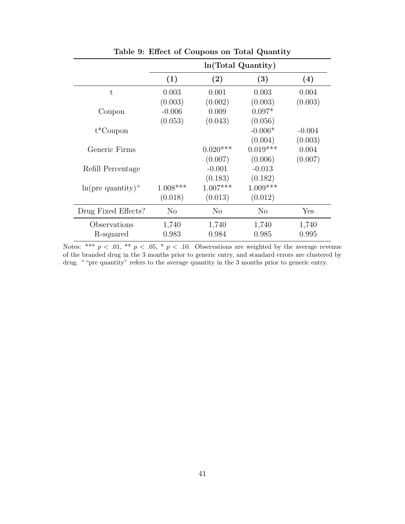<span id="page-40-0"></span>

|                                 | In (Total Quantity) |            |            |          |  |
|---------------------------------|---------------------|------------|------------|----------|--|
|                                 | (1)                 | $\rm(2)$   | (3)        | (4)      |  |
| $\mathbf t$                     | 0.003               | 0.001      | 0.003      | 0.004    |  |
|                                 | (0.003)             | (0.002)    | (0.003)    | (0.003)  |  |
| Coupon                          | $-0.006$            | 0.009      | $0.097*$   |          |  |
|                                 | (0.053)             | (0.043)    | (0.056)    |          |  |
| $t^*$ Coupon                    |                     |            | $-0.006*$  | $-0.004$ |  |
|                                 |                     |            | (0.004)    | (0.003)  |  |
| Generic Firms                   |                     | $0.020***$ | $0.019***$ | 0.004    |  |
|                                 |                     | (0.007)    | (0.006)    | (0.007)  |  |
| Refill Percentage               |                     | $-0.001$   | $-0.013$   |          |  |
|                                 |                     | (0.183)    | (0.182)    |          |  |
| $ln(pre$ quantity) <sup>+</sup> | $1.008***$          | $1.007***$ | $1.009***$ |          |  |
|                                 | (0.018)             | (0.013)    | (0.012)    |          |  |
| Drug Fixed Effects?             | No                  | No         | $\rm No$   | Yes      |  |
| Observations                    | 1,740               | 1,740      | 1,740      | 1,740    |  |
| R-squared                       | 0.983               | 0.984      | 0.985      | 0.995    |  |

Table 9: Effect of Coupons on Total Quantity

Notes: \*\*\*  $p < .01$ , \*\*  $p < .05$ , \*  $p < .10$ . Observations are weighted by the average revenue of the branded drug in the 3 months prior to generic entry, and standard errors are clustered by drug. <sup>+</sup>"pre quantity" refers to the average quantity in the 3 months prior to generic entry.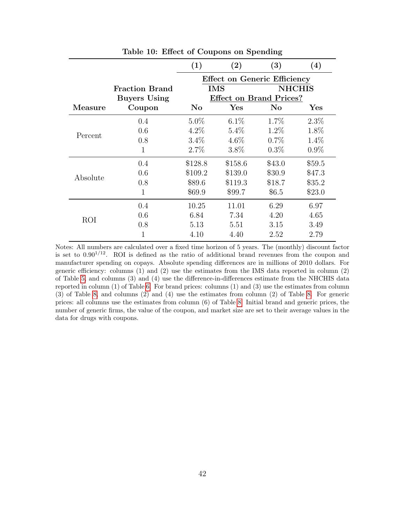<span id="page-41-0"></span>

|            |                       | (1)                                 | $\left( 2\right)$              | (3)      | $\left( 4\right)$ |
|------------|-----------------------|-------------------------------------|--------------------------------|----------|-------------------|
|            |                       | <b>Effect on Generic Efficiency</b> |                                |          |                   |
|            | <b>Fraction Brand</b> | <b>IMS</b>                          |                                |          | <b>NHCHIS</b>     |
|            | <b>Buyers Using</b>   |                                     | <b>Effect on Brand Prices?</b> |          |                   |
| Measure    | Coupon                | $\bf No$                            | <b>Yes</b>                     | $\bf No$ | Yes               |
|            | 0.4                   | $5.0\%$                             | $6.1\%$                        | $1.7\%$  | $2.3\%$           |
|            | 0.6                   | $4.2\%$                             | $5.4\%$                        | $1.2\%$  | 1.8%              |
| Percent    | 0.8                   | $3.4\%$                             | $4.6\%$                        | $0.7\%$  | $1.4\%$           |
|            | $\mathbf{1}$          | 2.7%                                | 3.8%                           | $0.3\%$  | $0.9\%$           |
|            | 0.4                   | \$128.8                             | \$158.6                        | \$43.0   | \$59.5            |
|            | 0.6                   | \$109.2                             | \$139.0                        | \$30.9   | \$47.3            |
| Absolute   | 0.8                   | \$89.6                              | \$119.3                        | \$18.7   | \$35.2            |
|            | 1                     | \$69.9                              | \$99.7                         | \$6.5    | \$23.0            |
|            | 0.4                   | 10.25                               | 11.01                          | 6.29     | 6.97              |
| <b>ROI</b> | 0.6                   | 6.84                                | 7.34                           | 4.20     | 4.65              |
|            | 0.8                   | 5.13                                | 5.51                           | 3.15     | 3.49              |
|            |                       | 4.10                                | 4.40                           | 2.52     | 2.79              |

Table 10: Effect of Coupons on Spending

Notes: All numbers are calculated over a fixed time horizon of 5 years. The (monthly) discount factor is set to  $0.90^{1/12}$ . ROI is defined as the ratio of additional brand revenues from the coupon and manufacturer spending on copays. Absolute spending differences are in millions of 2010 dollars. For generic efficiency: columns (1) and (2) use the estimates from the IMS data reported in column (2) of Table [5,](#page-36-0) and columns (3) and (4) use the difference-in-differences estimate from the NHCHIS data reported in column (1) of Table [6.](#page-37-0) For brand prices: columns (1) and (3) use the estimates from column (3) of Table [8,](#page-39-0) and columns (2) and (4) use the estimates from column (2) of Table [8.](#page-39-0) For generic prices: all columns use the estimates from column (6) of Table [8.](#page-39-0) Initial brand and generic prices, the number of generic firms, the value of the coupon, and market size are set to their average values in the data for drugs with coupons.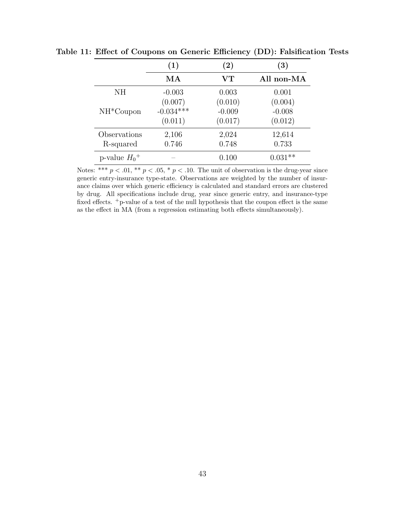|                 | (1)         | (2)                    | $\left( 3\right)$ |
|-----------------|-------------|------------------------|-------------------|
|                 | MA          | $\mathbf{V}\mathbf{T}$ | All non-MA        |
| NH.             | $-0.003$    | 0.003                  | 0.001             |
|                 | (0.007)     | (0.010)                | (0.004)           |
| $NH*Coupon$     | $-0.034***$ | $-0.009$               | $-0.008$          |
|                 | (0.011)     | (0.017)                | (0.012)           |
| Observations    | 2,106       | 2,024                  | 12,614            |
| R-squared       | 0.746       | 0.748                  | 0.733             |
| p-value $H_0^+$ |             | 0.100                  | $0.031**$         |

<span id="page-42-0"></span>Table 11: Effect of Coupons on Generic Efficiency (DD): Falsification Tests

Notes: \*\*\*  $p < .01$ , \*\*  $p < .05$ , \*  $p < .10$ . The unit of observation is the drug-year since generic entry-insurance type-state. Observations are weighted by the number of insurance claims over which generic efficiency is calculated and standard errors are clustered by drug. All specifications include drug, year since generic entry, and insurance-type fixed effects. <sup>+</sup>p-value of a test of the null hypothesis that the coupon effect is the same as the effect in MA (from a regression estimating both effects simultaneously).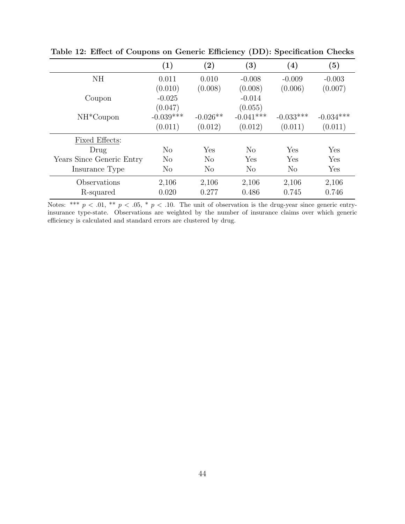|                           | (1)         | $\left( 2\right)$ | $\left( 3\right)$ | $\left( 4\right)$ | (5)         |
|---------------------------|-------------|-------------------|-------------------|-------------------|-------------|
| <b>NH</b>                 | 0.011       | 0.010             | $-0.008$          | $-0.009$          | $-0.003$    |
|                           | (0.010)     | (0.008)           | (0.008)           | (0.006)           | (0.007)     |
| Coupon                    | $-0.025$    |                   | $-0.014$          |                   |             |
|                           | (0.047)     |                   | (0.055)           |                   |             |
| $NH*Coupon$               | $-0.039***$ | $-0.026**$        | $-0.041***$       | $-0.033***$       | $-0.034***$ |
|                           | (0.011)     | (0.012)           | (0.012)           | (0.011)           | (0.011)     |
| <b>Fixed Effects:</b>     |             |                   |                   |                   |             |
| Drug                      | No          | Yes               | N <sub>o</sub>    | Yes               | Yes         |
| Years Since Generic Entry | No          | No                | Yes               | Yes               | Yes         |
| Insurance Type            | No          | No                | N <sub>o</sub>    | $\rm No$          | Yes         |
| Observations              | 2,106       | 2,106             | 2,106             | 2,106             | 2,106       |
| R-squared                 | 0.020       | 0.277             | 0.486             | 0.745             | 0.746       |

<span id="page-43-0"></span>Table 12: Effect of Coupons on Generic Efficiency (DD): Specification Checks

Notes: \*\*\*  $p < .01$ , \*\*  $p < .05$ , \*  $p < .10$ . The unit of observation is the drug-year since generic entryinsurance type-state. Observations are weighted by the number of insurance claims over which generic efficiency is calculated and standard errors are clustered by drug.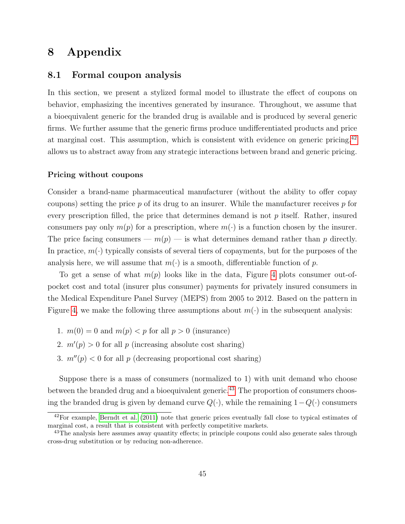# 8 Appendix

### 8.1 Formal coupon analysis

In this section, we present a stylized formal model to illustrate the effect of coupons on behavior, emphasizing the incentives generated by insurance. Throughout, we assume that a bioequivalent generic for the branded drug is available and is produced by several generic firms. We further assume that the generic firms produce undifferentiated products and price at marginal cost. This assumption, which is consistent with evidence on generic pricing,[42](#page-44-0) allows us to abstract away from any strategic interactions between brand and generic pricing.

#### Pricing without coupons

Consider a brand-name pharmaceutical manufacturer (without the ability to offer copay coupons) setting the price  $p$  of its drug to an insurer. While the manufacturer receives  $p$  for every prescription filled, the price that determines demand is not  $p$  itself. Rather, insured consumers pay only  $m(p)$  for a prescription, where  $m(\cdot)$  is a function chosen by the insurer. The price facing consumers —  $m(p)$  — is what determines demand rather than p directly. In practice,  $m(\cdot)$  typically consists of several tiers of copayments, but for the purposes of the analysis here, we will assume that  $m(\cdot)$  is a smooth, differentiable function of p.

To get a sense of what  $m(p)$  looks like in the data, Figure [4](#page-45-0) plots consumer out-ofpocket cost and total (insurer plus consumer) payments for privately insured consumers in the Medical Expenditure Panel Survey (MEPS) from 2005 to 2012. Based on the pattern in Figure [4,](#page-45-0) we make the following three assumptions about  $m(\cdot)$  in the subsequent analysis:

- 1.  $m(0) = 0$  and  $m(p) < p$  for all  $p > 0$  (insurance)
- 2.  $m'(p) > 0$  for all p (increasing absolute cost sharing)
- 3.  $m''(p) < 0$  for all p (decreasing proportional cost sharing)

Suppose there is a mass of consumers (normalized to 1) with unit demand who choose between the branded drug and a bioequivalent generic.<sup>[43](#page-44-1)</sup> The proportion of consumers choosing the branded drug is given by demand curve  $Q(\cdot)$ , while the remaining  $1-Q(\cdot)$  consumers

<span id="page-44-0"></span> $42$ For example, [Berndt et al.](#page-28-10) [\(2011\)](#page-28-10) note that generic prices eventually fall close to typical estimates of marginal cost, a result that is consistent with perfectly competitive markets.

<span id="page-44-1"></span><sup>&</sup>lt;sup>43</sup>The analysis here assumes away quantity effects; in principle coupons could also generate sales through cross-drug substitution or by reducing non-adherence.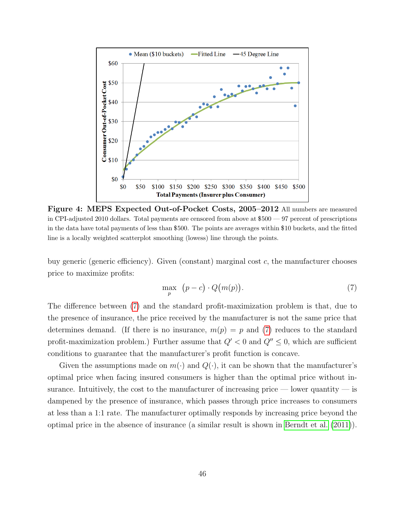<span id="page-45-0"></span>

Figure 4: MEPS Expected Out-of-Pocket Costs, 2005–2012 All numbers are measured in CPI-adjusted 2010 dollars. Total payments are censored from above at \$500 — 97 percent of prescriptions in the data have total payments of less than \$500. The points are averages within \$10 buckets, and the fitted line is a locally weighted scatterplot smoothing (lowess) line through the points.

buy generic (generic efficiency). Given (constant) marginal cost  $c$ , the manufacturer chooses price to maximize profits:

<span id="page-45-1"></span>
$$
\max_{p} \quad (p-c) \cdot Q(m(p)). \tag{7}
$$

The difference between [\(7\)](#page-45-1) and the standard profit-maximization problem is that, due to the presence of insurance, the price received by the manufacturer is not the same price that determines demand. (If there is no insurance,  $m(p) = p$  and [\(7\)](#page-45-1) reduces to the standard profit-maximization problem.) Further assume that  $Q' < 0$  and  $Q'' \leq 0$ , which are sufficient conditions to guarantee that the manufacturer's profit function is concave.

Given the assumptions made on  $m(\cdot)$  and  $Q(\cdot)$ , it can be shown that the manufacturer's optimal price when facing insured consumers is higher than the optimal price without insurance. Intuitively, the cost to the manufacturer of increasing price — lower quantity — is dampened by the presence of insurance, which passes through price increases to consumers at less than a 1:1 rate. The manufacturer optimally responds by increasing price beyond the optimal price in the absence of insurance (a similar result is shown in [Berndt et al.](#page-28-10) [\(2011\)](#page-28-10)).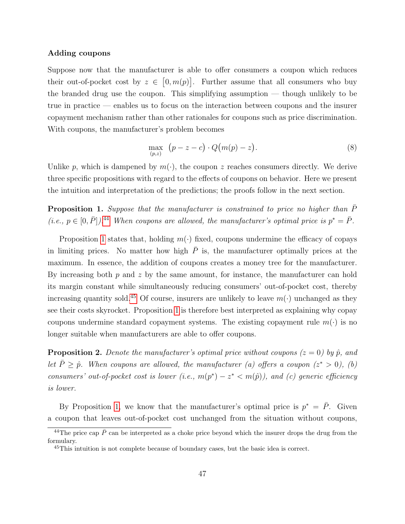#### Adding coupons

Suppose now that the manufacturer is able to offer consumers a coupon which reduces their out-of-pocket cost by  $z \in [0, m(p)]$ . Further assume that all consumers who buy the branded drug use the coupon. This simplifying assumption — though unlikely to be true in practice — enables us to focus on the interaction between coupons and the insurer copayment mechanism rather than other rationales for coupons such as price discrimination. With coupons, the manufacturer's problem becomes

$$
\max_{(p,z)} (p-z-c) \cdot Q(m(p)-z). \tag{8}
$$

Unlike p, which is dampened by  $m(\cdot)$ , the coupon z reaches consumers directly. We derive three specific propositions with regard to the effects of coupons on behavior. Here we present the intuition and interpretation of the predictions; the proofs follow in the next section.

<span id="page-46-1"></span>**Proposition 1.** Suppose that the manufacturer is constrained to price no higher than  $\bar{P}$ (i.e.,  $p \in [0, \bar{P}]$ ).<sup>[44](#page-46-0)</sup> When coupons are allowed, the manufacturer's optimal price is  $p^* = \bar{P}$ .

Proposition [1](#page-46-1) states that, holding  $m(\cdot)$  fixed, coupons undermine the efficacy of copays in limiting prices. No matter how high  $\overline{P}$  is, the manufacturer optimally prices at the maximum. In essence, the addition of coupons creates a money tree for the manufacturer. By increasing both  $p$  and  $z$  by the same amount, for instance, the manufacturer can hold its margin constant while simultaneously reducing consumers' out-of-pocket cost, thereby increasing quantity sold.<sup>[45](#page-46-2)</sup> Of course, insurers are unlikely to leave  $m(\cdot)$  unchanged as they see their costs skyrocket. Proposition [1](#page-46-1) is therefore best interpreted as explaining why copay coupons undermine standard copayment systems. The existing copayment rule  $m(\cdot)$  is no longer suitable when manufacturers are able to offer coupons.

**Proposition 2.** Denote the manufacturer's optimal price without coupons  $(z = 0)$  by  $\hat{p}$ , and let  $\bar{P} \geq \hat{p}$ . When coupons are allowed, the manufacturer (a) offers a coupon ( $z^* > 0$ ), (b) consumers' out-of-pocket cost is lower (i.e.,  $m(p^*) - z^* < m(\hat{p})$ ), and (c) generic efficiency is lower.

By Proposition [1,](#page-46-1) we know that the manufacturer's optimal price is  $p^* = \overline{P}$ . Given a coupon that leaves out-of-pocket cost unchanged from the situation without coupons,

<span id="page-46-0"></span><sup>&</sup>lt;sup>44</sup>The price cap  $\overline{P}$  can be interpreted as a choke price beyond which the insurer drops the drug from the formulary.

<span id="page-46-2"></span><sup>45</sup>This intuition is not complete because of boundary cases, but the basic idea is correct.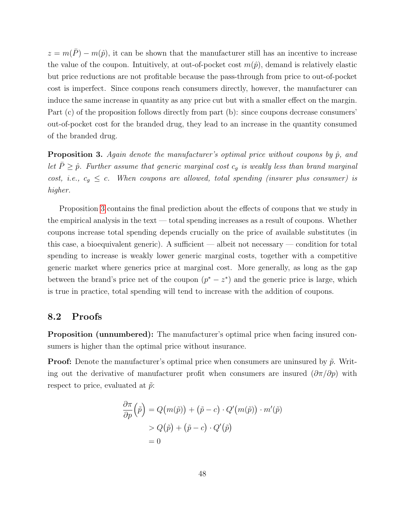$z = m(\bar{P}) - m(\hat{p})$ , it can be shown that the manufacturer still has an incentive to increase the value of the coupon. Intuitively, at out-of-pocket cost  $m(\hat{p})$ , demand is relatively elastic but price reductions are not profitable because the pass-through from price to out-of-pocket cost is imperfect. Since coupons reach consumers directly, however, the manufacturer can induce the same increase in quantity as any price cut but with a smaller effect on the margin. Part (c) of the proposition follows directly from part (b): since coupons decrease consumers' out-of-pocket cost for the branded drug, they lead to an increase in the quantity consumed of the branded drug.

<span id="page-47-0"></span>**Proposition 3.** Again denote the manufacturer's optimal price without coupons by  $\hat{p}$ , and let  $\bar{P} \geq \hat{p}$ . Further assume that generic marginal cost  $c_g$  is weakly less than brand marginal cost, i.e.,  $c_g \leq c$ . When coupons are allowed, total spending (insurer plus consumer) is higher.

Proposition [3](#page-47-0) contains the final prediction about the effects of coupons that we study in the empirical analysis in the text — total spending increases as a result of coupons. Whether coupons increase total spending depends crucially on the price of available substitutes (in this case, a bioequivalent generic). A sufficient — albeit not necessary — condition for total spending to increase is weakly lower generic marginal costs, together with a competitive generic market where generics price at marginal cost. More generally, as long as the gap between the brand's price net of the coupon  $(p^* - z^*)$  and the generic price is large, which is true in practice, total spending will tend to increase with the addition of coupons.

#### 8.2 Proofs

Proposition (unnumbered): The manufacturer's optimal price when facing insured consumers is higher than the optimal price without insurance.

**Proof:** Denote the manufacturer's optimal price when consumers are uninsured by  $\tilde{p}$ . Writing out the derivative of manufacturer profit when consumers are insured  $(\partial \pi/\partial p)$  with respect to price, evaluated at  $\tilde{p}$ :

$$
\frac{\partial \pi}{\partial p}(\tilde{p}) = Q(m(\tilde{p})) + (\tilde{p} - c) \cdot Q'(m(\tilde{p})) \cdot m'(\tilde{p})
$$

$$
> Q(\tilde{p}) + (\tilde{p} - c) \cdot Q'(\tilde{p})
$$

$$
= 0
$$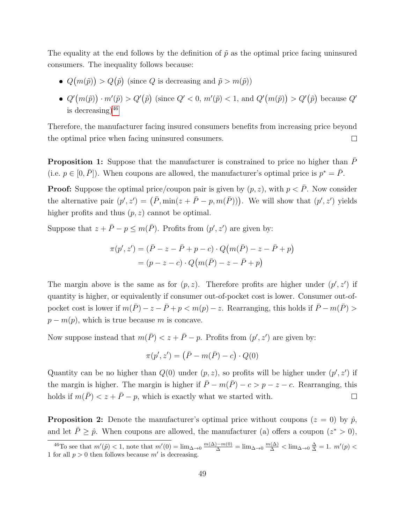The equality at the end follows by the definition of  $\tilde{p}$  as the optimal price facing uninsured consumers. The inequality follows because:

- $Q(m(\tilde{p})) > Q(\tilde{p})$  (since Q is decreasing and  $\tilde{p} > m(\tilde{p})$ )
- $Q'(m(\tilde{p})) \cdot m'(\tilde{p}) > Q'(\tilde{p})$  (since  $Q' < 0$ ,  $m'(\tilde{p}) < 1$ , and  $Q'(m(\tilde{p})) > Q'(\tilde{p})$  because  $Q'$ is decreasing $)^{46}$  $)^{46}$  $)^{46}$

Therefore, the manufacturer facing insured consumers benefits from increasing price beyond the optimal price when facing uninsured consumers.  $\Box$ 

**Proposition 1:** Suppose that the manufacturer is constrained to price no higher than  $\bar{P}$ (i.e.  $p \in [0, \bar{P}]$ ). When coupons are allowed, the manufacturer's optimal price is  $p^* = \bar{P}$ .

**Proof:** Suppose the optimal price/coupon pair is given by  $(p, z)$ , with  $p < \overline{P}$ . Now consider the alternative pair  $(p', z') = (\bar{P}, \min(z + \bar{P} - p, m(\bar{P})))$ . We will show that  $(p', z')$  yields higher profits and thus  $(p, z)$  cannot be optimal.

Suppose that  $z + \bar{P} - p \leq m(\bar{P})$ . Profits from  $(p', z')$  are given by:

$$
\pi(p', z') = (\bar{P} - z - \bar{P} + p - c) \cdot Q(m(\bar{P}) - z - \bar{P} + p)
$$
  
=  $(p - z - c) \cdot Q(m(\bar{P}) - z - \bar{P} + p)$ 

The margin above is the same as for  $(p, z)$ . Therefore profits are higher under  $(p', z')$  if quantity is higher, or equivalently if consumer out-of-pocket cost is lower. Consumer out-ofpocket cost is lower if  $m(\bar{P}) - z - \bar{P} + p < m(p) - z$ . Rearranging, this holds if  $\bar{P} - m(\bar{P}) >$  $p - m(p)$ , which is true because m is concave.

Now suppose instead that  $m(\bar{P}) < z + \bar{P} - p$ . Profits from  $(p', z')$  are given by:

$$
\pi(p', z') = (\bar{P} - m(\bar{P}) - c) \cdot Q(0)
$$

Quantity can be no higher than  $Q(0)$  under  $(p, z)$ , so profits will be higher under  $(p', z')$  if the margin is higher. The margin is higher if  $\bar{P}$  –  $m(\bar{P})$  – c > p – z – c. Rearranging, this holds if  $m(\bar{P}) < z + \bar{P} - p$ , which is exactly what we started with.  $\Box$ 

**Proposition 2:** Denote the manufacturer's optimal price without coupons  $(z = 0)$  by  $\hat{p}$ , and let  $\bar{P} \geq \hat{p}$ . When coupons are allowed, the manufacturer (a) offers a coupon  $(z^* > 0)$ ,

<span id="page-48-0"></span><sup>&</sup>lt;sup>46</sup>To see that  $m'(\tilde{p}) < 1$ , note that  $m'(0) = \lim_{\Delta \to 0} \frac{m(\Delta) - m(0)}{\Delta} = \lim_{\Delta \to 0} \frac{m(\Delta)}{\Delta} < \lim_{\Delta \to 0} \frac{\Delta}{\Delta} = 1$ .  $m'(p) <$ 1 for all  $p > 0$  then follows because  $m'$  is decreasing.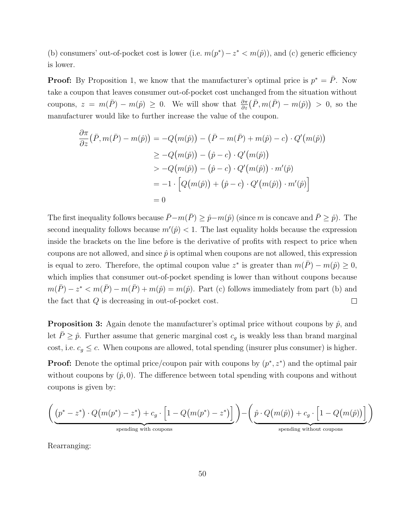(b) consumers' out-of-pocket cost is lower (i.e.  $m(p^*) - z^* < m(\hat{p})$ ), and (c) generic efficiency is lower.

**Proof:** By Proposition 1, we know that the manufacturer's optimal price is  $p^* = \overline{P}$ . Now take a coupon that leaves consumer out-of-pocket cost unchanged from the situation without coupons,  $z = m(\bar{P}) - m(\hat{p}) \ge 0$ . We will show that  $\frac{\partial \pi}{\partial z}(\bar{P}, m(\bar{P}) - m(\hat{p})) > 0$ , so the manufacturer would like to further increase the value of the coupon.

$$
\frac{\partial \pi}{\partial z} (\bar{P}, m(\bar{P}) - m(\hat{p})) = -Q(m(\hat{p})) - (\bar{P} - m(\bar{P}) + m(\hat{p}) - c) \cdot Q'(m(\hat{p}))
$$
  
\n
$$
\geq -Q(m(\hat{p})) - (\hat{p} - c) \cdot Q'(m(\hat{p}))
$$
  
\n
$$
> -Q(m(\hat{p})) - (\hat{p} - c) \cdot Q'(m(\hat{p})) \cdot m'(\hat{p})
$$
  
\n
$$
= -1 \cdot \left[ Q(m(\hat{p})) + (\hat{p} - c) \cdot Q'(m(\hat{p})) \cdot m'(\hat{p}) \right]
$$
  
\n
$$
= 0
$$

The first inequality follows because  $\bar{P}$ −m( $\bar{P}$ ) ≥  $\hat{p}$ −m( $\hat{p}$ ) (since m is concave and  $\bar{P} \geq \hat{p}$ ). The second inequality follows because  $m'(\hat{p}) < 1$ . The last equality holds because the expression inside the brackets on the line before is the derivative of profits with respect to price when coupons are not allowed, and since  $\hat{p}$  is optimal when coupons are not allowed, this expression is equal to zero. Therefore, the optimal coupon value  $z^*$  is greater than  $m(\bar{P}) - m(\hat{p}) \geq 0$ , which implies that consumer out-of-pocket spending is lower than without coupons because  $m(\bar{P}) - z^* < m(\bar{P}) - m(\bar{P}) + m(\hat{p}) = m(\hat{p})$ . Part (c) follows immediately from part (b) and the fact that Q is decreasing in out-of-pocket cost.  $\Box$ 

**Proposition 3:** Again denote the manufacturer's optimal price without coupons by  $\hat{p}$ , and let  $\bar{P} \geq \hat{p}$ . Further assume that generic marginal cost  $c_g$  is weakly less than brand marginal cost, i.e.  $c_g \leq c$ . When coupons are allowed, total spending (insurer plus consumer) is higher.

**Proof:** Denote the optimal price/coupon pair with coupons by  $(p^*, z^*)$  and the optimal pair without coupons by  $(\hat{p}, 0)$ . The difference between total spending with coupons and without coupons is given by:

$$
\left( \underbrace{\left(p^*-z^*\right)\cdot Q\big(m(p^*)-z^*\big)+c_g\cdot\Big[1-Q\big(m(p^*)-z^*\big)\Big]}_{\text{spending with coupons}}\right)-\left( \underbrace{\hat{p}\cdot Q\big(m(\hat{p})\big)+c_g\cdot\Big[1-Q\big(m(\hat{p})\big)\Big]}_{\text{spending without coupons}}\right)
$$

Rearranging: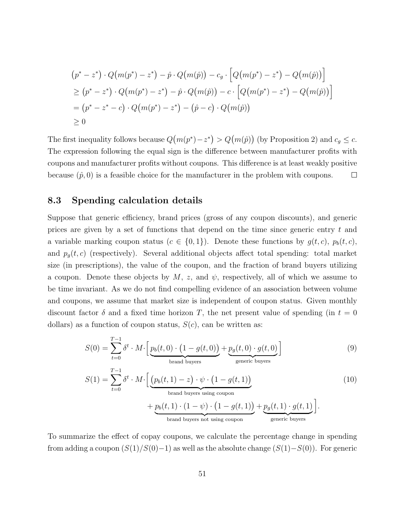$$
(p^* - z^*) \cdot Q(m(p^*) - z^*) - \hat{p} \cdot Q(m(\hat{p})) - c_g \cdot \left[Q(m(p^*) - z^*) - Q(m(\hat{p}))\right]
$$
  
\n
$$
\geq (p^* - z^*) \cdot Q(m(p^*) - z^*) - \hat{p} \cdot Q(m(\hat{p})) - c \cdot \left[Q(m(p^*) - z^*) - Q(m(\hat{p}))\right]
$$
  
\n
$$
= (p^* - z^* - c) \cdot Q(m(p^*) - z^*) - (\hat{p} - c) \cdot Q(m(\hat{p}))
$$
  
\n
$$
\geq 0
$$

The first inequality follows because  $Q(m(p^*)-z^*) > Q(m(\hat{p}))$  (by Proposition 2) and  $c_g \leq c$ . The expression following the equal sign is the difference between manufacturer profits with coupons and manufacturer profits without coupons. This difference is at least weakly positive because  $(\hat{p}, 0)$  is a feasible choice for the manufacturer in the problem with coupons.  $\Box$ 

### 8.3 Spending calculation details

Suppose that generic efficiency, brand prices (gross of any coupon discounts), and generic prices are given by a set of functions that depend on the time since generic entry  $t$  and a variable marking coupon status  $(c \in \{0,1\})$ . Denote these functions by  $g(t, c)$ ,  $p_b(t, c)$ , and  $p_g(t, c)$  (respectively). Several additional objects affect total spending: total market size (in prescriptions), the value of the coupon, and the fraction of brand buyers utilizing a coupon. Denote these objects by  $M$ , z, and  $\psi$ , respectively, all of which we assume to be time invariant. As we do not find compelling evidence of an association between volume and coupons, we assume that market size is independent of coupon status. Given monthly discount factor  $\delta$  and a fixed time horizon T, the net present value of spending (in  $t = 0$ ) dollars) as a function of coupon status,  $S(c)$ , can be written as:

<span id="page-50-0"></span>
$$
S(0) = \sum_{t=0}^{T-1} \delta^t \cdot M \cdot \left[ \underbrace{p_b(t,0) \cdot (1 - g(t,0))}_{\text{brand buyers}} + \underbrace{p_g(t,0) \cdot g(t,0)}_{\text{generic buyers}} \right]
$$
(9)

<span id="page-50-1"></span>
$$
S(1) = \sum_{t=0}^{T-1} \delta^t \cdot M \cdot \left[ \underbrace{(p_b(t, 1) - z) \cdot \psi \cdot (1 - g(t, 1))}_{\text{brand buyers using coupon}} + \underbrace{p_b(t, 1) \cdot (1 - \psi) \cdot (1 - g(t, 1))}_{\text{brand buyers not using coupon}} + \underbrace{p_g(t, 1) \cdot g(t, 1)}_{\text{generic buyers}} \right].
$$
 (10)

To summarize the effect of copay coupons, we calculate the percentage change in spending from adding a coupon  $(S(1)/S(0)-1)$  as well as the absolute change  $(S(1)-S(0))$ . For generic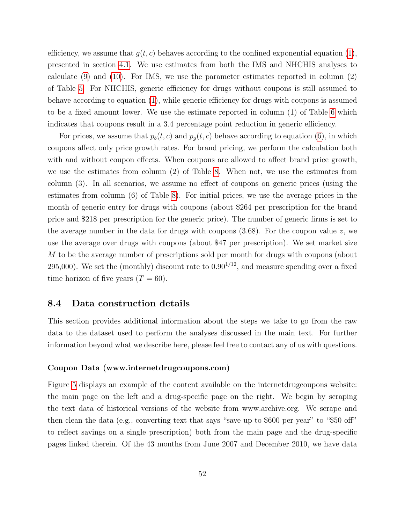efficiency, we assume that  $g(t, c)$  behaves according to the confined exponential equation [\(1\)](#page-13-0), presented in section [4.1.](#page-12-1) We use estimates from both the IMS and NHCHIS analyses to calculate [\(9\)](#page-50-0) and [\(10\)](#page-50-1). For IMS, we use the parameter estimates reported in column (2) of Table [5.](#page-36-0) For NHCHIS, generic efficiency for drugs without coupons is still assumed to behave according to equation [\(1\)](#page-13-0), while generic efficiency for drugs with coupons is assumed to be a fixed amount lower. We use the estimate reported in column (1) of Table [6](#page-37-0) which indicates that coupons result in a 3.4 percentage point reduction in generic efficiency.

For prices, we assume that  $p_b(t, c)$  and  $p_g(t, c)$  behave according to equation [\(6\)](#page-18-0), in which coupons affect only price growth rates. For brand pricing, we perform the calculation both with and without coupon effects. When coupons are allowed to affect brand price growth, we use the estimates from column (2) of Table [8.](#page-39-0) When not, we use the estimates from column (3). In all scenarios, we assume no effect of coupons on generic prices (using the estimates from column (6) of Table [8\)](#page-39-0). For initial prices, we use the average prices in the month of generic entry for drugs with coupons (about \$264 per prescription for the brand price and \$218 per prescription for the generic price). The number of generic firms is set to the average number in the data for drugs with coupons  $(3.68)$ . For the coupon value z, we use the average over drugs with coupons (about \$47 per prescription). We set market size M to be the average number of prescriptions sold per month for drugs with coupons (about 295,000). We set the (monthly) discount rate to  $0.90^{1/12}$ , and measure spending over a fixed time horizon of five years  $(T = 60)$ .

#### 8.4 Data construction details

This section provides additional information about the steps we take to go from the raw data to the dataset used to perform the analyses discussed in the main text. For further information beyond what we describe here, please feel free to contact any of us with questions.

#### Coupon Data (www.internetdrugcoupons.com)

Figure [5](#page-52-0) displays an example of the content available on the internetdrugcoupons website: the main page on the left and a drug-specific page on the right. We begin by scraping the text data of historical versions of the website from www.archive.org. We scrape and then clean the data (e.g., converting text that says "save up to \$600 per year" to "\$50 off" to reflect savings on a single prescription) both from the main page and the drug-specific pages linked therein. Of the 43 months from June 2007 and December 2010, we have data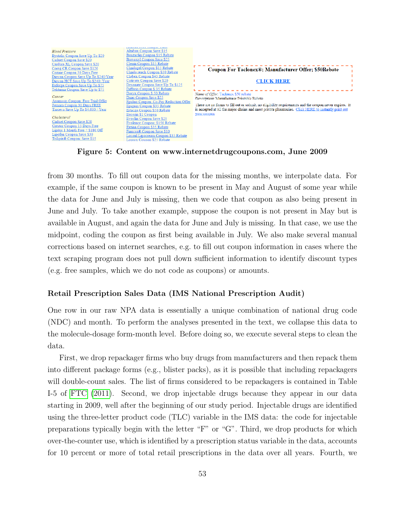<span id="page-52-0"></span>

Figure 5: Content on www.internetdrugcoupons.com, June 2009

from 30 months. To fill out coupon data for the missing months, we interpolate data. For example, if the same coupon is known to be present in May and August of some year while the data for June and July is missing, then we code that coupon as also being present in June and July. To take another example, suppose the coupon is not present in May but is available in August, and again the data for June and July is missing. In that case, we use the midpoint, coding the coupon as first being available in July. We also make several manual corrections based on internet searches, e.g. to fill out coupon information in cases where the text scraping program does not pull down sufficient information to identify discount types (e.g. free samples, which we do not code as coupons) or amounts.

#### Retail Prescription Sales Data (IMS National Prescription Audit)

One row in our raw NPA data is essentially a unique combination of national drug code (NDC) and month. To perform the analyses presented in the text, we collapse this data to the molecule-dosage form-month level. Before doing so, we execute several steps to clean the data.

First, we drop repackager firms who buy drugs from manufacturers and then repack them into different package forms (e.g., blister packs), as it is possible that including repackagers will double-count sales. The list of firms considered to be repackagers is contained in Table I-5 of [FTC](#page-28-11) [\(2011\)](#page-28-11). Second, we drop injectable drugs because they appear in our data starting in 2009, well after the beginning of our study period. Injectable drugs are identified using the three-letter product code (TLC) variable in the IMS data: the code for injectable preparations typically begin with the letter "F" or "G". Third, we drop products for which over-the-counter use, which is identified by a prescription status variable in the data, accounts for 10 percent or more of total retail prescriptions in the data over all years. Fourth, we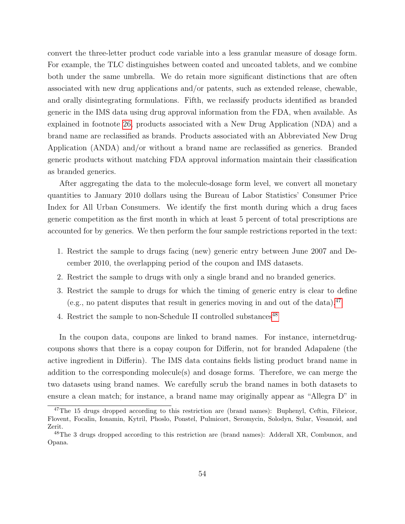convert the three-letter product code variable into a less granular measure of dosage form. For example, the TLC distinguishes between coated and uncoated tablets, and we combine both under the same umbrella. We do retain more significant distinctions that are often associated with new drug applications and/or patents, such as extended release, chewable, and orally disintegrating formulations. Fifth, we reclassify products identified as branded generic in the IMS data using drug approval information from the FDA, when available. As explained in footnote [26,](#page-9-1) products associated with a New Drug Application (NDA) and a brand name are reclassified as brands. Products associated with an Abbreviated New Drug Application (ANDA) and/or without a brand name are reclassified as generics. Branded generic products without matching FDA approval information maintain their classification as branded generics.

After aggregating the data to the molecule-dosage form level, we convert all monetary quantities to January 2010 dollars using the Bureau of Labor Statistics' Consumer Price Index for All Urban Consumers. We identify the first month during which a drug faces generic competition as the first month in which at least 5 percent of total prescriptions are accounted for by generics. We then perform the four sample restrictions reported in the text:

- 1. Restrict the sample to drugs facing (new) generic entry between June 2007 and December 2010, the overlapping period of the coupon and IMS datasets.
- 2. Restrict the sample to drugs with only a single brand and no branded generics.
- 3. Restrict the sample to drugs for which the timing of generic entry is clear to define (e.g., no patent disputes that result in generics moving in and out of the data).<sup>[47](#page-53-0)</sup>
- 4. Restrict the sample to non-Schedule II controlled substances<sup>[48](#page-53-1)</sup>

In the coupon data, coupons are linked to brand names. For instance, internetdrugcoupons shows that there is a copay coupon for Differin, not for branded Adapalene (the active ingredient in Differin). The IMS data contains fields listing product brand name in addition to the corresponding molecule(s) and dosage forms. Therefore, we can merge the two datasets using brand names. We carefully scrub the brand names in both datasets to ensure a clean match; for instance, a brand name may originally appear as "Allegra D" in

<span id="page-53-0"></span><sup>&</sup>lt;sup>47</sup>The 15 drugs dropped according to this restriction are (brand names): Buphenyl, Ceftin, Fibricor, Flovent, Focalin, Ionamin, Kytril, Phoslo, Ponstel, Pulmicort, Seromycin, Solodyn, Sular, Vesanoid, and Zerit.

<span id="page-53-1"></span><sup>48</sup>The 3 drugs dropped according to this restriction are (brand names): Adderall XR, Combunox, and Opana.